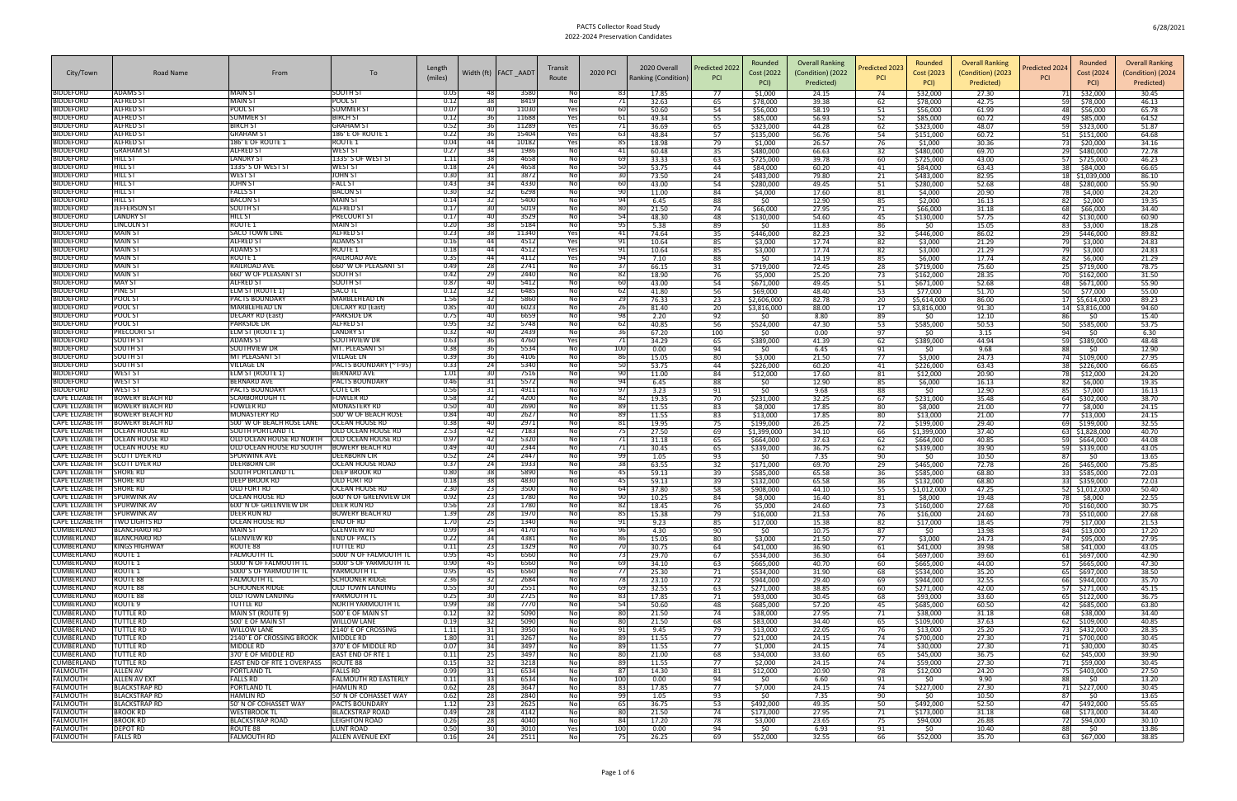|                                                     |                                                  |                                                          |                                                 |                   |            |                        |                        |                |                                     |                              | Rounded                  | <b>Overall Ranking</b> |                                          | Rounded                  | <b>Overall Ranking</b> |                                          | Rounded               | <b>Overall Ranking</b> |
|-----------------------------------------------------|--------------------------------------------------|----------------------------------------------------------|-------------------------------------------------|-------------------|------------|------------------------|------------------------|----------------|-------------------------------------|------------------------------|--------------------------|------------------------|------------------------------------------|--------------------------|------------------------|------------------------------------------|-----------------------|------------------------|
| City/Town                                           | Road Name                                        | From                                                     | To                                              | Length<br>(miles) |            | Width (ft)   FACT AADT | Transit<br>Route       | 2020 PCI       | 2020 Overall<br>Ranking (Condition) | Predicted 2022<br><b>PCI</b> | Cost (2022               | (Condition) (2022      | redicted 2023 <sup>,</sup><br><b>PCI</b> | Cost (2023               | (Condition) (2023      | redicted 2024 <sup>,</sup><br><b>PCI</b> | Cost (2024            | (Condition) (2024      |
|                                                     |                                                  |                                                          |                                                 |                   |            |                        |                        |                |                                     |                              | PCI)                     | Predicted)             |                                          | PCI)                     | Predicted)             |                                          | PCI)                  | Predicted)             |
| <b>BIDDEFORD</b><br><b>BIDDEFORD</b>                | <b>ADAMS ST</b><br><b>ALFRED S</b>               | <b>MAIN ST</b><br><b>MAIN ST</b>                         | SOUTH ST<br>POOL ST                             | 0.05<br>0.12      |            | 3580<br>8419           | No<br>No               |                | 17.85<br>32.63                      | 77<br>65                     | \$1,000<br>\$78,000      | 24.15<br>39.38         | 74<br>62                                 | \$32,000<br>\$78,000     | 27.30<br>42.75         | 59                                       | \$32,000<br>\$78,000  | 30.45<br>46.13         |
| <b>BIDDEFORD</b>                                    | <b>ALFRED S</b>                                  | pool st                                                  | <b>SUMMER S</b>                                 | 0.07              | 40         | 11030                  | Yes                    | 60             | 50.60                               | 54                           | \$56,000                 | 58.19                  | -51                                      | \$56,000                 | 61.99                  | 48.                                      | \$56,000              | 65.78                  |
| <b>BIDDEFORD</b><br><b>BIDDEFORD</b>                | <b>ALFRED S</b><br><b>ALFRED ST</b>              | SUMMER S'<br>BIRCH ST                                    | <b>BIRCH ST</b><br><b>GRAHAM ST</b>             | 0.12<br>0.52      |            | 11688<br>11289         | Yes<br>Yes             | 6              | 49.34<br>36.69                      | 55<br>65                     | \$85,000<br>\$323,000    | 56.93<br>44.28         | 52<br>62                                 | \$85,000<br>\$323,000    | 60.72<br>48.07         | 49                                       | \$85,000<br>\$323,000 | 64.52<br>51.87         |
| <b>BIDDEFORD</b>                                    | <b>ALFRED ST</b>                                 | GRAHAM S                                                 | 186' E OF ROUTE :                               | 0.22              |            | 15404                  | Yes                    | -63            | 48.84                               | 57                           | \$135,000                | 56.76                  | 54                                       | \$151,000                | 60.72                  | 59<br>51 \$151,000                       |                       | 64.68                  |
| <b>BIDDEFORD</b>                                    | <b>ALFRED ST</b>                                 | 186' E OF ROUTE 1                                        | <b>ROUTE 1</b>                                  | 0.04              |            | 10182                  | Yes                    | 85             | 18.98                               | 79                           | \$1,000                  | 26.57                  | -76                                      | \$1,000                  | 30.36                  |                                          |                       | 34.16                  |
| <b>BIDDEFORD</b><br><b>BIDDEFORD</b>                | <b>GRAHAM ST</b><br>HILL ST                      | ALFRED ST<br><b>LANDRY ST</b>                            | <b>WEST ST</b><br>1335' S OF WEST ST            | 0.27<br>1.11      | 34         | 1986<br>4658           | No<br>No               | 41<br>69       | 60.48<br>33.33                      | 35<br>63                     | \$480,000<br>\$725,000   | 66.63<br>39.78         | 32<br>60                                 | \$480,000<br>\$725,000   | 69.70<br>43.00         | 29 \$480,000<br>57 \$725,000             |                       | 72.78<br>46.23         |
| <b>BIDDEFORD</b>                                    | HILL ST                                          | 1335' S OF WEST ST                                       | <b>WEST ST</b>                                  | 0.18              | <b>241</b> | 4658                   | Nol                    | -50            | 53.75                               | 44                           | \$84,000                 | 60.20                  | 41                                       | \$84,000                 | 63.43                  | 38                                       | \$84,000              | 66.65                  |
| <b>BIDDEFORD</b>                                    | HILL ST                                          | WEST ST                                                  | <b>JOHN ST</b>                                  | 0.30              |            | 3872                   | No                     |                | 73.50<br>43.00                      | 24                           | \$483,000                | 79.80                  | 21                                       | \$483,000                | 82.95                  | 18 \$1,039,000                           |                       | 86.10                  |
| <b>BIDDEFORD</b><br><b>BIDDEFORD</b>                | HILL ST<br>HILL ST                               | JOHN ST<br>FALLS ST                                      | <b>FALL ST</b><br><b>BACON ST</b>               | 0.43<br>0.30      |            | 4330<br>6298           | No<br>Nol              | 60<br>90       | 11.00                               | 54<br>84                     | \$280,000<br>\$4,000     | 49.45<br>17.60         | 51<br>81                                 | \$280,000<br>\$4,000     | 52.68<br>20.90         | 48 \$280,000<br>781                      | \$4,000               | 55.90<br>24.20         |
| <b>BIDDEFORD</b>                                    | HILL ST                                          | <b>BACON ST</b>                                          | <b>MAIN ST</b>                                  | 0.14              |            | 5400                   | Nol                    | -94            | 6.45                                | 88                           | -SO                      | 12.90                  | 85                                       | \$2,000                  | 16.13                  | 82                                       | \$2,000               | 19.35                  |
| <b>BIDDEFORD</b><br><b>BIDDEFORD</b>                | <b>JEFFERSON ST</b><br><b>LANDRY ST</b>          | SOUTH ST<br>HILL ST                                      | <b>ALFRED ST</b><br><b>PRECOURT ST</b>          | 0.17<br>0.17      |            | 5019<br>3529           | Nol<br><b>No</b>       | 8C<br>54       | 21.50<br>48.30                      | 74<br>48                     | \$66,000<br>\$130,000    | 27.95<br>54.60         | 71<br>45                                 | \$66,000<br>\$130,000    | 31.18<br>57.75         | 68<br>42 \$130,000                       | \$66,000              | 34.40<br>60.90         |
| <b>BIDDEFORD</b>                                    | <b>LINCOLN ST</b>                                | ROUTE 1                                                  | <b>MAIN ST</b>                                  | 0.20              |            | 5184                   | No                     | 95             | 5.38                                | 89                           | -SO                      | 11.83                  | 86                                       | -SO                      | 15.05                  | 83                                       | \$3,000               | 18.28                  |
| <b>BIDDEFORD</b>                                    | <b>MAIN ST</b>                                   | SACO TOWN LINE                                           | <b>ALFRED ST</b>                                | 0.23              |            | 11340                  | Yes                    | 4 <sup>2</sup> | 74.64                               | 35                           | \$446,000                | 82.23                  | 32                                       | \$446,000                | 86.02                  | 29 \$446,000                             |                       | 89.82                  |
| <b>BIDDEFORD</b><br><b>BIDDEFORD</b>                | <b>MAIN ST</b><br><b>MAIN ST</b>                 | <b>ALFRED ST</b><br>ADAMS ST                             | <b>ADAMS ST</b><br>ROUTE <sub>1</sub>           | 0.16<br>0.18      | 44         | 4512<br>4512           | Yes<br>Yes             | 91<br>91       | 10.64<br>10.64                      | 85<br>85                     | \$3,000<br>\$3,000       | 17.74<br>17.74         | 82<br>82                                 | \$3,000<br>\$3,000       | 21.29<br>21.29         | 79<br>79                                 | \$3,000<br>\$3,000    | 24.83<br>24.83         |
| <b>BIDDEFORD</b>                                    | <b>MAIN ST</b>                                   | ROUTE 1                                                  | <b>RAILROAD AVE</b>                             | 0.35              |            | 4112                   | Yes                    | 94             | 7.10                                | 88                           | \$0                      | 14.19                  | 85                                       | \$6,000                  | 17.74                  | 82 \$6,000                               |                       | 21.29                  |
| <b>BIDDEFORD</b>                                    | <b>MAIN ST</b>                                   | RAILROAD AVE                                             | 660' W OF PLEASANT ST                           | 0.49              |            | 2741                   | <b>No</b>              | 3.             | 66.15                               | 31                           | \$719,000                | 72.45                  | 28                                       | \$719,000                | 75.60                  | 25 \$719,000                             |                       | 78.75                  |
| <b>BIDDEFORD</b><br><b>BIDDEFORD</b>                | <b>MAIN ST</b><br><b>MAY ST</b>                  | <b>660' W OF PLEASANT ST</b><br><b>ALFRED ST</b>         | <b>SOUTH ST</b><br><b>SOUTH ST</b>              | 0.42<br>0.87      | 40         | 2440<br>5412           | No<br>Nol              | -82<br>60      | 18.90<br>43.00                      | 76<br>54                     | \$5,000<br>\$671,000     | 25.20<br>49.45         | 73<br>51                                 | \$162,000<br>\$671,000   | 28.35<br>52.68         | 70 \$162,000<br>48 \$671,000             |                       | 31.50<br>55.90         |
| <b>BIDDEFORD</b>                                    | PINE ST                                          | <b>ELM ST (ROUTE 1)</b>                                  | SACO TL                                         | 0.12              |            | 6485                   | No                     | -62            | 41.80                               | 56                           | \$69,000                 | 48.40                  | 53                                       | \$77,000                 | 51.70                  | 50 \$77,000                              |                       | 55.00                  |
| <b>BIDDEFORD</b>                                    | POOL ST                                          | <b>PACTS BOUNDARY</b>                                    | <b>MARBLEHEAD LN</b>                            | 1.56              |            | 5860                   | <b>No</b>              | 25             | 76.33                               | 23                           | \$2,606,000              | 82.78                  | 20                                       | \$5,614,000              | 86.00                  | 17 \$5,614,000                           |                       | 89.23                  |
| <b>BIDDEFORD</b><br><b>BIDDEFORD</b>                | POOL ST<br>POOL ST                               | MARBLEHEAD LN<br>DECARY RD (East)                        | <b>DECARY RD (East</b><br><b>PARKSIDE DR</b>    | 0.85<br>0.75      | 40<br>40   | 6023<br>6659           | Nol<br>Nol             | -26<br>98      | 81.40<br>2.20                       | 20<br>92                     | \$3,816,000<br>-SO       | 88.00<br>8.80          | 17<br>89                                 | \$3,816,000<br>-SO       | 91.30<br>12.10         | 14 \$3,816,000<br>861                    | SO.                   | 94.60<br>15.40         |
| <b>BIDDEFORD</b>                                    | POOL ST                                          | PARKSIDE DR                                              | <b>ALFRED ST</b>                                | 0.95              |            | 5748                   | Nol                    | -62            | 40.85                               | 56                           | \$524,000                | 47.30                  | 53                                       | \$585,000                | 50.53                  | 50 \$585,000                             |                       | 53.75                  |
| <b>BIDDEFORD</b>                                    | <b>PRECOURT ST</b>                               | ELM ST (ROUTE 1)                                         | <b>LANDRY ST</b>                                | 0.32              |            | 2439                   | Nol                    | -36            | 67.20                               | 100                          | \$0                      | 0.00                   | 97                                       | \$0                      | 3.15                   | 94                                       | \$0                   | 6.30<br>48.48          |
| <b>BIDDEFORD</b><br><b>BIDDEFORD</b>                | <b>SOUTH ST</b><br>SOUTH ST                      | ADAMS ST<br>SOUTHVIEW DF                                 | SOUTHVIEW DF<br>MT. PLEASANT ST                 | 0.63<br>0.38      |            | 4760<br>5534           | Yes<br>Nol             | -71<br>100     | 34.29<br>0.00                       | 65<br>94                     | \$389,000<br>-SO         | 41.39<br>6.45          | 62<br>91                                 | \$389,000<br>\$0         | 44.94<br>9.68          | 59 \$389,000<br>88                       | SO.                   | 12.90                  |
| <b>BIDDEFORD</b>                                    | <b>SOUTH ST</b>                                  | MT PLEASANT ST                                           | VILLAGE LN                                      | 0.39              | 36         | 4106                   | <b>No</b>              | 86             | 15.05                               | 80                           | \$3,000                  | 21.50                  | 77                                       | \$3,000                  | 24.73                  | 74 \$109,000                             |                       | 27.95                  |
| <b>BIDDEFORD</b><br><b>BIDDEFORD</b>                | <b>SOUTH ST</b><br>WEST <sub>S</sub>             | VILLAGE LN                                               | PACTS BOUNDARY (~ I-95)<br><b>BERNARD AVE</b>   | 0.33<br>1.01      |            | 5340<br>7516           | No<br>Nol              | 50<br>90       | 53.75<br>11.00                      | 44<br>84                     | \$226,000<br>\$12,000    | 60.20<br>17.60         | 41<br>81                                 | \$226,000<br>\$12,000    | 63.43<br>20.90         | 38 \$226,000                             |                       | 66.65<br>24.20         |
| <b>BIDDEFORD</b>                                    | <b>WEST ST</b>                                   | ELM ST (ROUTE 1)<br>BERNARD AVE                          | <b>PACTS BOUNDARY</b>                           | 0.46              |            | 5572                   | No                     | -94            | 6.45                                | 88                           | -SO                      | 12.90                  | 85                                       | \$6,000                  | 16.13                  | 78 I<br>82                               | \$12,000<br>\$6,000   | 19.35                  |
| <b>BIDDEFORD</b>                                    | <b>WEST ST</b>                                   | PACTS BOUNDARY                                           | <b>COTE CIR</b>                                 | 0.56              |            | 4911                   | No                     | 97             | 3.23                                | 91                           | \$0                      | 9.68                   | 88                                       | \$0                      | 12.90                  | 85                                       | \$7,000               | 16.13                  |
| CAPE ELIZABET<br>CAPE ELIZABETH                     | <b>BOWERY BEACH RD</b><br><b>BOWERY BEACH RD</b> | SCARBOROUGH TI<br>fowler Rd                              | <b>FOWLER RD</b><br><b>MONASTERY RD</b>         | 0.58<br>0.50      |            | 4200<br>2690           | Nol<br>Nol             | -82<br>-89     | 19.35<br>11.55                      | 70<br>83                     | \$231,000<br>\$8,000     | 32.25<br>17.85         | 67<br>80                                 | \$231,000<br>\$8,000     | 35.48<br>21.00         | 64<br>77                                 | \$302,000<br>\$8,000  | 38.70<br>24.15         |
| CAPE ELIZABETH                                      | <b>BOWERY BEACH RD</b>                           | <b>MONASTERY RD</b>                                      | 500' W OF BEACH ROSE                            | 0.84              |            | 2627                   | Nol                    | 89             | 11.55                               | 83                           | \$13,000                 | 17.85                  | 80                                       | \$13,000                 | 21.00                  | 77 \$13,000                              |                       | 24.15                  |
| CAPE ELIZABETH                                      | <b>BOWERY BEACH RD</b>                           | 500' W OF BEACH ROSE LANE                                | <b>OCEAN HOUSE RD</b>                           | 0.38              |            | 2971                   | <b>No</b>              | 81             | 19.95                               | 75                           | \$199,000                | 26.25                  | 72                                       | \$199,000                | 29.40                  | 69 \$199,000                             |                       | 32.55                  |
| CAPE ELIZABETH<br><b>CAPE ELIZABETH</b>             | <b>OCEAN HOUSE RD</b><br><b>OCEAN HOUSE RD</b>   | SOUTH PORTLAND TI<br>OLD OCEAN HOUSE RD NORTH            | OLD OCEAN HOUSE RD<br>OLD OCEAN HOUSE RD        | 2.53<br>0.97      | 42         | 7183<br>5320           | No<br><b>No</b>        | 75             | 27.50<br>31.18                      | 69<br>65                     | \$1,399,000<br>\$664,000 | 34.10<br>37.63         | 66<br>62                                 | \$1,399,000<br>\$664,000 | 37.40<br>40.85         | 63 \$1,828,000<br>59 \$664,000           |                       | 40.70<br>44.08         |
| <b>CAPE ELIZABETH</b>                               | <b>OCEAN HOUSE RD</b>                            | OLD OCEAN HOUSE RD SOUTH                                 | <b>BOWERY BEACH RD</b>                          | 0.49              |            | 2344                   | No                     |                | 30.45                               | 65                           | \$339,000                | 36.75                  | 62                                       | \$339,000                | 39.90                  | 59 \$339,000                             |                       | 43.05                  |
| CAPE ELIZABETH                                      | <b>SCOTT DYER RD</b>                             | SPURWINK AVI                                             | DEERBORN CIF                                    | 0.52              |            | 2447                   | No                     | 99             | 1.05                                | 93                           | \$0                      | 7.35                   | 90                                       | \$0                      | 10.50                  | 87                                       | SO.                   | 13.65                  |
| CAPE ELIZABETH<br>CAPE ELIZABETH                    | <b>SCOTT DYER RD</b><br><b>SHORE RD</b>          | <b>DEERBORN CIR</b><br>SOUTH PORTLAND TI                 | <b>OCEAN HOUSE ROAD</b><br><b>DEEP BROOK RD</b> | 0.37<br>0.80      | -241       | 1933<br>5890           | <b>No</b><br>No        | 38<br>-45      | 63.55<br>59.13                      | 32<br>39                     | \$171,000<br>\$585,000   | 69.70<br>65.58         | 29<br>36                                 | \$465,000<br>\$585,000   | 72.78<br>68.80         | 26 \$465,000<br>33 \$585,000             |                       | 75.85<br>72.03         |
| CAPE ELIZABETH                                      | <b>SHORE RD</b>                                  | <b>DEEP BROOK RD</b>                                     | OLD FORT RD                                     | 0.18              |            | 4830                   | No                     | 45             | 59.13                               | 39                           | \$132,000                | 65.58                  | 36                                       | \$132,000                | 68.80                  | 33 \$359,000                             |                       | 72.03                  |
| CAPE ELIZABETH<br>CAPE ELIZABETH SPURWINK AV        | <b>SHORE RD</b>                                  | OLD FORT RD                                              | <b>OCEAN HOUSE RD</b>                           | 2.30              |            | 3500                   | Nol                    | 64             | 37.80                               | 58                           | \$908,000                | 44.10                  | 55                                       | \$1,012,000              | 47.25                  | 52 \$1,012,000                           |                       | 50.40                  |
| CAPE ELIZABETH SPURWINK AV                          |                                                  | OCEAN HOUSE RD<br>600' N OF GREENVIEW DR                 | 600' N OF GREENVIEW DR<br><b>DEER RUN RD</b>    | 0.92<br>0.56      |            | 1780<br>1780           | <b>No</b><br>No.       | 90             | 10.25<br>18.45                      | 84<br>76                     | \$8,000<br>\$5,000       | 16.40<br>24.60         | 81<br>73                                 | \$8,000<br>\$160,000     | 19.48<br>27.68         | 78  <br>70 \$160,000                     | \$8,000               | 22.55<br>30.75         |
| CAPE ELIZABETH SPURWINK AV                          |                                                  | <b>DEER RUN RD</b>                                       | <b>BOWERY BEACH RD</b>                          | 1.39              | 281        | 1970                   | No                     | 85             | 15.38                               | 79                           | \$16,000                 | 21.53                  | 76                                       | \$16,000                 | 24.60                  | 73 \$510,000                             |                       | 27.68                  |
| CAPE ELIZABETH   TWO LIGHTS RD<br><b>CUMBERLAND</b> | <b>BLANCHARD RD</b>                              | <b>OCEAN HOUSE RD</b><br><b>MAIN ST</b>                  | END OF RD<br><b>GLENVIEW RD</b>                 | 1.70<br>0.99      | -251       | 1340                   | Nol                    | 91             | 9.23<br>4.30                        | 85<br>90                     | \$17,000                 | 15.38<br>10.75         | 82<br>87                                 | \$17,000<br>\$0          | 18.45<br>13.98         | 79 \$17,000                              |                       | 21.53<br>17.20         |
| CUMBERLAND                                          | <b>BLANCHARD RD</b>                              | GLENVIEW RD                                              | <b>END OF PACTS</b>                             | 0.22              |            | 4170<br>4381           | Nol<br>Nol             | 96<br>86       | 15.05                               | 80                           | \$0<br>\$3,000           | 21.50                  | 77                                       | \$3,000                  | 24.73                  | 84 \$13,000<br>74 \$95,000               |                       | 27.95                  |
| CUMBERLAND                                          | <b>KINGS HIGHWAY</b>                             | ROUTE 88                                                 | TUTTLE RD                                       | 0.11              | <b>231</b> | 1329                   | Nol                    | -70            | 30.75                               | 64                           | \$41,000                 | 36.90                  | 61                                       | \$41,000                 | 39.98                  | 58 \$41,000                              |                       | 43.05                  |
| <b>CUMBERLAND</b><br>CUMBERLAND                     | ROUTE 1<br><b>ROUTE 1</b>                        | FALMOUTH TL<br>5000' N OF FALMOUTH TL                    | 5000' N OF FALMOUTH TL<br>5000'S OF YARMOUTH TL | 0.95<br>0.90      | 45<br>45   | 6560<br>6560           | Nol<br>No              | -73<br>69      | 29.70<br>34.10                      | 67<br>63                     | \$534,000<br>\$665,000   | 36.30<br>40.70         | 64<br>60                                 | \$697,000<br>\$665,000   | 39.60<br>44.00         | 61 \$697,000<br>57 \$665,000             |                       | 42.90<br>47.30         |
| CUMBERLAND                                          | <b>ROUTE 1</b>                                   | 5000'S OF YARMOUTH TL                                    | YARMOUTH TL                                     | 0.95              | 451        | 6560                   | Nol                    |                | 25.30                               | 71                           | \$534,000                | 31.90                  | 68                                       | \$534,000                | 35.20                  | 65 \$697,000                             |                       | 38.50                  |
| CUMBERLAND                                          | <b>ROUTE 88</b>                                  | FALMOUTH TL                                              | <b>SCHOONER RIDGE</b>                           | 2.36              | -32 I      | 2684                   | No                     | -78            | 23.10                               | 72                           | \$944,000                | 29.40                  | 69                                       | \$944.000                | 32.55                  | 66 \$944,000                             |                       | 35.70                  |
| CUMBERLAND<br>CUMBERLAND                            | ROUTE 88<br>ROUTE 88                             | <b>SCHOONER RIDGE</b><br><b>OLD TOWN LANDING</b>         | <b>OLD TOWN LANDING</b><br>YARMOUTH TL          | 0.55<br>0.25      |            | 2551<br>2725           | Nol<br>Nol             | 69<br>83       | 32.55<br>17.85                      | 63<br>71                     | \$271,000<br>\$93,000    | 38.85<br>30.45         | 60<br>68                                 | \$271,000<br>\$93,000    | 42.00<br>33.60         | 57 \$271,000<br>65 \$122,000             |                       | 45.15<br>36.75         |
| CUMBERLAND                                          | ROUTE <sub>9</sub>                               | TUTTLE RD                                                | NORTH YARMOUTH TI                               | 0.99              | 38         | 7770                   | No                     | -54            | 50.60                               | 48                           | \$685,000                | 57.20                  | 45                                       | \$685,000                | 60.50                  | 42 \$685,000                             |                       | 63.80                  |
| CUMBERLAND                                          | <b>TUTTLE RD</b>                                 | MAIN ST (ROUTE 9)                                        | 500' E OF MAIN ST                               | 0.12              | -321       | 5090                   | Nol                    | 80             | 21.50                               | 74                           | \$38,000                 | 27.95                  | 71                                       | \$38,000                 | 31.18                  | 68 \$38,000                              |                       | 34.40                  |
| <b>CUMBERLAND</b><br><b>CUMBERLAND</b>              | <b>TUTTLE RD</b><br><b>TUTTLE RD</b>             | 500' E OF MAIN ST<br><b>WILLOW LANE</b>                  | <b>WILLOW LANE</b><br>2140' E OF CROSSING       | 0.19<br>1.11      |            | 5090<br>3950           | Nol<br>No              | 80<br>91       | 21.50<br>9.45                       | 68<br>79                     | \$83,000<br>\$13,000     | 34.40<br>22.05         | 65<br>76                                 | \$109,000<br>\$13,000    | 37.63<br>25.20         | 62 \$109,000<br>73 \$432,000             |                       | 40.85<br>28.35         |
| CUMBERLAND                                          | <b>TUTTLE RD</b>                                 | 2140' E OF CROSSING BROOK                                | <b>MIDDLE RD</b>                                | 1.80              | -31        | 3267                   | No                     | 89             | 11.55                               | 77                           | \$21,000                 | 24.15                  | 74                                       | \$700,000                | 27.30                  | 71 \$700,000                             |                       | 30.45                  |
| CUMBERLAND                                          | <b>TUTTLE RD</b>                                 | MIDDLE RD                                                | 370' E OF MIDDLE RD                             | 0.07              |            | 3497                   | No                     | 89             | 11.55                               | 77                           | \$1,000                  | 24.15                  | 74                                       | \$30,000                 | 27.30                  | 71 \$30,000                              |                       | 30.45                  |
| CUMBERLAND<br>CUMBERLAND                            | <b>TUTTLE RD</b><br><b>TUTTLE RD</b>             | 370' E OF MIDDLE RD<br><b>EAST END OF RTE 1 OVERPASS</b> | <b>EAST END OF RTE 1</b><br>ROUTE 88            | 0.11<br>0.15      | 25         | 3497<br>3218           | <b>No</b><br><b>No</b> | 80<br>89       | 21.00<br>11.55                      | 68<br>77                     | \$34,000<br>\$2,000      | 33.60<br>24.15         | 65<br>74                                 | \$45,000<br>\$59,000     | 36.75<br>27.30         | 62 \$45,000<br>71 \$59,000               |                       | 39.90<br>30.45         |
| FALMOUTH                                            | <b>ALLEN AV</b>                                  | PORTLAND TL                                              | <b>FALLS RD</b>                                 | 0.99              | -311       | 6534                   | <b>No</b>              | 87             | 14.30                               | 81                           | \$12,000                 | 20.90                  | 78                                       | \$12,000                 | 24.20                  | 75 \$403,000                             |                       | 27.50                  |
| <b>FALMOUTH</b>                                     | <b>ALLEN AV EXT</b>                              | <b>FALLS RD</b>                                          | FALMOUTH RD EASTERLY                            | 0.11              |            | 6534                   | Nol                    | 100            | 0.00                                | 94                           | \$0                      | 6.60                   | 91                                       | \$0                      | 9.90                   | 88                                       | \$0                   | 13.20                  |
| <b>FALMOUTH</b><br><b>FALMOUTH</b>                  | <b>BLACKSTRAP RD</b><br><b>BLACKSTRAP RD</b>     | PORTLAND TL<br><b>HAMLIN RD</b>                          | <b>HAMLIN RD</b><br>50' N OF COHASSET WAY       | 0.62<br>0.62      | -281       | 3647<br>2840           | <b>No</b><br>No        | 83<br>-99      | 17.85<br>1.05                       | 77<br>93                     | \$7,000<br>\$0           | 24.15<br>7.35          | 74<br>90                                 | \$227,000<br>-SO         | 27.30<br>10.50         | 71 \$227,000<br>871                      | \$0                   | 30.45<br>13.65         |
| <b>FALMOUTH</b>                                     | <b>BLACKSTRAP RD</b>                             | 50' N OF COHASSET WAY                                    | <b>PACTS BOUNDARY</b>                           | 1.12              |            | 2625                   | Nol                    | 65             | 36.75                               | 53                           | \$492,000                | 49.35                  | 50                                       | \$492,000                | 52.50                  | 47 \$492,000                             |                       | 55.65                  |
| <b>FALMOUTH</b>                                     | <b>BROOK RD</b><br><b>BROOK RD</b>               | <b>WESTBROOK TL</b><br><b>BLACKSTRAP ROAD</b>            | <b>BLACKSTRAP ROAD</b>                          | 0.49<br>0.26      | 28         | 4142<br>4040           | Nol<br>Nol             | 80             | 21.50<br>17.20                      | 74                           | \$173,000                | 27.95<br>23.65         | 71                                       | \$173,000                | 31.18                  | 68 \$173,000                             |                       | 34.40<br>30.10         |
| <b>FALMOUTH</b><br><b>FALMOUTH</b>                  | <b>DEPOT RD</b>                                  | ROUTE 88                                                 | <b>LEIGHTON ROAD</b><br><b>LUNT ROAD</b>        | 0.50              | 28<br>301  | 3010                   | Yes                    | 84<br>100      | 0.00                                | 78<br>94                     | \$3,000<br>\$0           | 6.93                   | 75<br>91                                 | \$94,000<br>\$0          | 26.88<br>10.40         | 72 \$94,000<br>881                       | \$0                   | 13.86                  |
| <b>FALMOUTH</b>                                     | <b>FALLS RD</b>                                  | FALMOUTH RD                                              | <b>ALLEN AVENUE EXT</b>                         | 0.16              | 24         | 2511                   | No                     | 75             | 26.25                               | 69                           | \$52,000                 | 32.55                  | 66                                       | \$52,000                 | 35.70                  | 63 \$67,000                              |                       | 38.85                  |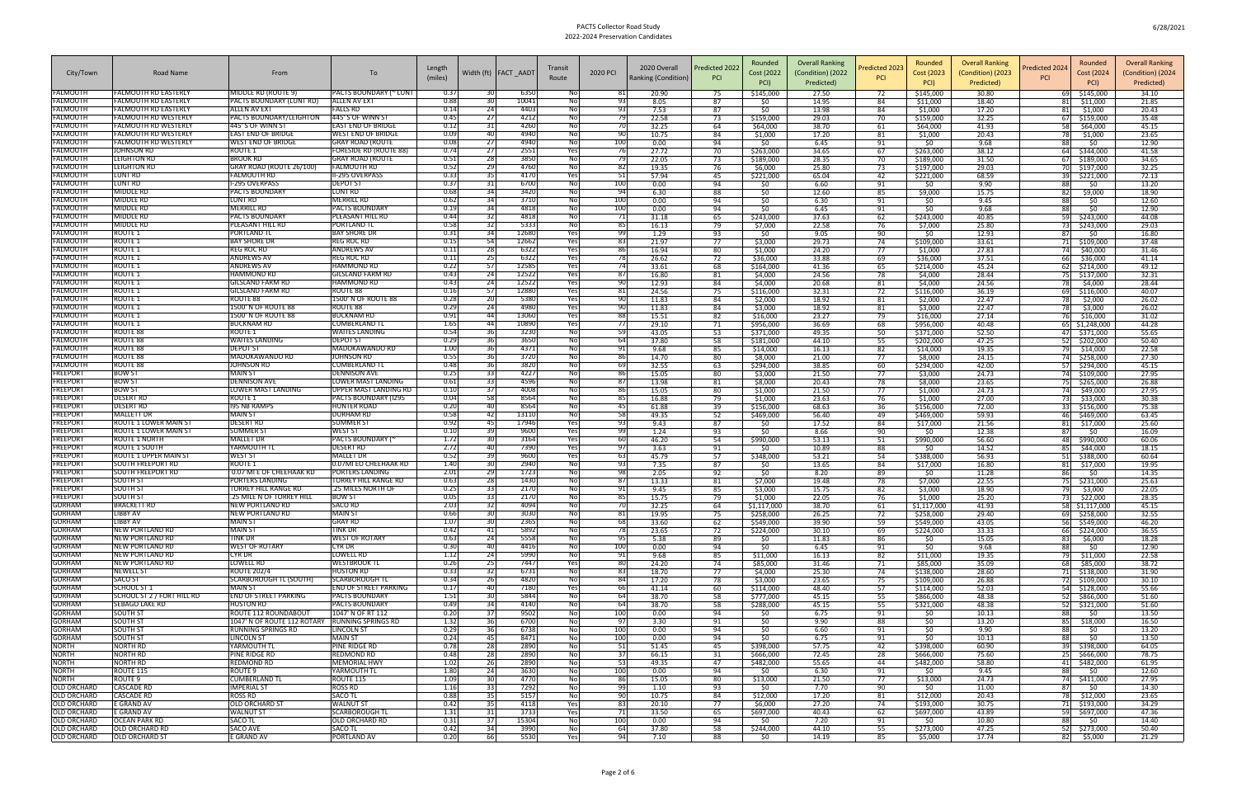| City/Town                                | Road Name                                     | From                                           | To                                         | Length<br>(miles) |                       | Width (ft)   FACT AADT | Transit<br>Route | 2020 PCI    | 2020 Overall<br>Ranking (Condition) | Predicted 2022<br><b>PCI</b> | Rounded<br>Cost (2022<br>PCI) | <b>Overall Ranking</b><br>(Condition) (2022<br>Predicted) | redicted 2023<br><b>PCI</b> | Rounded<br>Cost (2023<br>PCI) | <b>Overall Ranking</b><br>(Condition) (2023<br>Predicted) | Rounded<br>redicted 202<br>Cost (2024)<br><b>PCI</b><br>PCI) | <b>Overall Ranking</b><br>(Condition) (2024<br>Predicted) |
|------------------------------------------|-----------------------------------------------|------------------------------------------------|--------------------------------------------|-------------------|-----------------------|------------------------|------------------|-------------|-------------------------------------|------------------------------|-------------------------------|-----------------------------------------------------------|-----------------------------|-------------------------------|-----------------------------------------------------------|--------------------------------------------------------------|-----------------------------------------------------------|
| FALMOUTH                                 | FALMOUTH RD EASTERL'                          | MIDDLE RD (ROUTE 9)                            | PACTS BOUNDARY (~ LUN                      | 0.37              |                       | 6350                   | No               | 81          | 20.90                               | 75                           | \$145,000                     | 27.50                                                     | 72                          | \$145,000                     | 30.80                                                     | \$145,000<br>691                                             | 34.10                                                     |
| FALMOUTH                                 | FALMOUTH RD EASTERLY                          | PACTS BOUNDARY (LUNT RD)                       | <b>ALLEN AV EXT</b>                        | 0.88              | 30                    | 10041                  | No               | 93          | 8.05                                | 87                           | \$0                           | 14.95                                                     | 84                          | \$11,000                      | 18.40                                                     | \$11,000                                                     | 21.85                                                     |
| FALMOUTH<br>FALMOUTH                     | FALMOUTH RD EASTERLY<br>FALMOUTH RD WESTERL   | ALLEN AV EXT<br>PACTS BOUNDARY/LEIGHTON        | FALLS RD<br>445' S OF WINN S               | 0.14<br>0.45      | 24                    | 4403<br>4212           | <b>No</b><br>No  | 93<br>-79   | 7.53<br>22.58                       | 87<br>73                     | \$0<br>\$159,000              | 13.98<br>29.03                                            | 84<br>70                    | \$1,000<br>\$159,000          | 17.20<br>32.25                                            | \$1,000<br>\$159,000                                         | 20.43<br>35.48                                            |
| FALMOUTH                                 | ALMOUTH RD WESTERL'                           | 445' S OF WINN ST                              | EAST END OF BRIDGE                         | 0.12              |                       | 4260                   | No               |             | 32.25                               | 64                           | \$64,000                      | 38.70                                                     | 61                          | \$64,000                      | 41.93                                                     | \$64,000                                                     | 45.15                                                     |
| FALMOUTH                                 | FALMOUTH RD WESTERL'                          | <b>EAST END OF BRIDGE</b>                      | WEST END OF BRIDGE                         | 0.09              | 40 I                  | 4940                   | <b>No</b>        | 90          | 10.75                               | 84                           | \$1,000                       | 17.20                                                     | 81                          | \$1,000                       | 20.43                                                     | \$1,000                                                      | 23.65                                                     |
| FALMOUTH                                 | <b>FALMOUTH RD WESTERLY</b>                   | <b>WEST END OF BRIDGE</b>                      | <b>GRAY ROAD (ROUT</b>                     | 0.08              | -271                  | 4940                   | Nol              | 100         | 0.00                                | 94                           | SO.                           | 6.45                                                      | 91                          | SO.                           | 9.68                                                      | S0                                                           | 12.90                                                     |
| FALMOUTH                                 | JOHNSON RD                                    | ROUTE 1                                        | FORESIDE RD (ROUTE 88)                     | 0.74              | <b>271</b>            | 2551                   | Yes              | -76         | 27.72                               | 70                           | \$263,000                     | 34.65                                                     | 67                          | \$263,000                     | 38.12                                                     | \$344,000<br>64                                              | 41.58                                                     |
| FALMOUTH                                 | <b>LEIGHTON RD</b>                            | <b>BROOK RD</b>                                | <b>GRAY ROAD (ROUTE</b>                    | 0.51              | 28                    | 3850<br>4760           | No               |             | 22.05                               | 73                           | \$189,000                     | 28.35                                                     | 70                          | \$189,000                     | 31.50                                                     | \$189,000<br>67                                              | 34.65<br>32.25                                            |
| FALMOUTH<br>FALMOUTH                     | LEIGHTON RD<br>LUNT RD                        | GRAY ROAD (ROUTE 26/100)<br><b>FALMOUTH RD</b> | FALMOUTH RD<br><b>II-295 OVERPASS</b>      | 0.52<br>0.33      | 29<br>35              | 4170                   | 2<br>2<br>Yesl   | 82<br>51    | 19.35<br>57.94                      | 76<br>45                     | \$6,000<br>\$221,000          | 25.80<br>65.04                                            | -73<br>- 42                 | \$197,000<br>\$221,000        | 29.03<br>68.59                                            | \$197,000<br>\$221,000                                       | 72.13                                                     |
| FALMOUTH                                 | LUNT RD                                       | I-295 OVERPASS                                 | DEPOT ST                                   | 0.37              |                       | 6700                   | No               | 100         | 0.00                                | 94                           | \$0                           | 6.60                                                      | 91                          | \$0                           | 9.90                                                      | \$0<br>88                                                    | 13.20                                                     |
| FALMOUTH                                 | <b>MIDDLE RD</b>                              | PACTS BOUNDARY                                 | LUNT RD                                    | 0.68              | 34                    | 3420                   | No               | 94          | 6.30                                | 88                           | \$0                           | 12.60                                                     | 85                          | \$9,000                       | 15.75                                                     | \$9,000                                                      | 18.90                                                     |
| FALMOUTH                                 | <b>MIDDLE RD</b>                              | <b>LUNT RD</b>                                 | MERRILL RI                                 | 0.62              | 34 I                  | 3710                   | No               | 100         | 0.00                                | 94                           | \$0                           | 6.30                                                      | 91                          | SO.                           | 9.45                                                      | SO.                                                          | 12.60                                                     |
| FALMOUTH                                 | <b>MIDDLE RD</b>                              | <b>MERRILL RD</b>                              | <b>PACTS BOUNDARY</b>                      | 0.19              | 34                    | 4818                   | No               | 100         | 0.00                                | 94                           | \$0                           | 6.45                                                      | 91                          | \$0                           | 9.68                                                      | \$0                                                          | 12.90                                                     |
| FALMOUTH<br>FALMOUTH                     | MIDDLE RD<br><b>MIDDLE RD</b>                 | PACTS BOUNDARY<br>PLEASANT HILL RD             | PLEASANT HILL RD<br>PORTLAND <sup>-</sup>  | 0.44<br>0.58      | 32<br>321             | 4818<br>5333           | No<br><b>No</b>  | 71<br>85    | 31.18<br>16.13                      | 65<br>79                     | \$243,000<br>\$7,000          | 37.63<br>22.58                                            | 62<br>76                    | \$243,000<br>\$7,000          | 40.85<br>25.80                                            | \$243,000<br>\$243,000                                       | 44.08<br>29.03                                            |
| FALMOUTH                                 | ROUTE 1                                       | <b>PORTLAND T</b>                              | <b>BAY SHORE DR</b>                        | 0.31              | 34                    | 12680                  | Yes              | 99          | 1.29                                | 93                           | SO.                           | 9.05                                                      | 90                          | SO.                           | 12.93                                                     | SO                                                           | 16.80                                                     |
| FALMOUTH                                 | ROUTE 1                                       | <b>BAY SHORE DR</b>                            | reg roc Rd                                 | 0.15              | 54                    | 12662                  | Yes              | 83          | 21.97                               | 77                           | \$3,000                       | 29.73                                                     | 74                          | \$109,000                     | 33.61                                                     | \$109,000                                                    | 37.48                                                     |
| FALMOUTH                                 | ROUTE 1                                       | REG ROC RD                                     | <b>ANDREWS AV</b>                          | 0.11              | 28                    | 6322                   | Yes              | 86          | 16.94                               | 80                           | \$1,000                       | 24.20                                                     | 77                          | \$1,000                       | 27.83                                                     | \$40,000<br>74                                               | 31.46                                                     |
| FALMOUTH                                 | ROUTE 1                                       | ANDREWS AV                                     | reg roc Rd                                 | 0.11              | <b>25</b>             | 6322                   | Yes              | -78         | 26.62                               | 72                           | \$36,000                      | 33.88                                                     | 69                          | \$36,000                      | 37.51                                                     | \$36,000                                                     | 41.14                                                     |
| FALMOUTH<br>FALMOUTH                     | ROUTE 1<br><b>ROUTE 1</b>                     | ANDREWS AV<br>HAMMOND RD                       | HAMMOND RD<br><b>GILSLAND FARM RD</b>      | 0.22<br>0.43      | -571                  | 12585<br>12522         | Yes<br>Yes       | 74<br>-87   | 33.61<br>16.80                      | 68<br>81                     | \$164,000<br>\$4,000          | 41.36<br>24.56                                            | 65<br>78                    | \$214,000<br>\$4,000          | 45.24<br>28.44                                            | \$214,000<br>\$137,000                                       | 49.12<br>32.31                                            |
| FALMOUTH                                 | ROUTE 1                                       | GILSLAND FARM RD                               | HAMMOND RD                                 | 0.43              | 24                    | 12522                  | Yes              | 90          | 12.93                               | 84                           | \$4,000                       | 20.68                                                     | 81                          | \$4,000                       | 24.56                                                     | \$4,000                                                      | 28.44                                                     |
| FALMOUTH                                 | ROUTE <sub>1</sub>                            | <b>GILSLAND FARM RD</b>                        | ROUTE 88                                   | 0.16              | <b>571</b>            | 12880                  | Yes              | 81          | 24.56                               | 75                           | \$116,000                     | 32.31                                                     | 72                          | \$116,000                     | 36.19                                                     | \$116,000                                                    | 40.07                                                     |
| FALMOUTH                                 | ROUTE 1                                       | ROUTE 88                                       | 1500' N OF ROUTE 88                        | 0.28              |                       | 5380                   | Yes              | 90          | 11.83                               | 84                           | \$2,000                       | 18.92                                                     | 81                          | \$2,000                       | 22.47                                                     | \$2,000                                                      | 26.02                                                     |
| FALMOUTH                                 | ROUTE 1                                       | 1500' N OF ROUTE 88                            | ROUTE 88                                   | 0.29              | 24                    | 4980                   | Yes              | 90          | 11.83                               | 84                           | \$3,000                       | 18.92                                                     | 81                          | \$3,000                       | 22.47                                                     | \$3,000                                                      | 26.02                                                     |
| FALMOUTH<br>FALMOUTH                     | ROUTE 1<br>ROUTE 1                            | 1500' N OF ROUTE 88<br><b>BUCKNAM RD</b>       | BUCKNAM RD<br><b>CUMBERLAND TI</b>         | 0.91<br>1.65      | -441<br>44 I          | 13060<br>10890         | Yes<br>Yes       | 88<br>77    | 15.51<br>29.10                      | 82<br>71                     | \$16,000<br>\$956,000         | 23.27<br>36.69                                            | 79<br>68                    | \$16,000<br>\$956,000         | 27.14<br>40.48                                            | \$16,000<br>\$1,248,000<br>65.                               | 31.02<br>44.28                                            |
| FALMOUTH                                 | <b>ROUTE 88</b>                               | ROUTE 1                                        | WAITES LANDING                             | 0.54              |                       | 3230                   | No               | 59          | 43.05                               | 53                           | \$371,000                     | 49.35                                                     | 50                          | \$371,000                     | 52.50                                                     | \$371,000                                                    | 55.65                                                     |
| FALMOUTH                                 | ROUTE 88                                      | WAITES LANDING                                 | DEPOT ST                                   | 0.29              | 361                   | 3650                   | <b>No</b>        | 64          | 37.80                               | 58                           | \$181,000                     | 44.10                                                     | 55                          | \$202,000                     | 47.25                                                     | \$202,000<br>521                                             | 50.40                                                     |
| FALMOUTH                                 | ROUTE 88                                      | <b>DEPOT ST</b>                                | MADOKAWANDO RD                             | 1.00              | 36 I                  | 4371                   | Nol              | 91          | 9.68                                | 85                           | \$14,000                      | 16.13                                                     | 82                          | \$14,000                      | 19.35                                                     | \$14,000                                                     | 22.58                                                     |
| FALMOUTH                                 | <b>ROUTE 88</b>                               | MADOKAWANDO RD                                 | <b>JOHNSON RD</b>                          | 0.55              | 36                    | 3720                   | No               | 86          | 14.70                               | 80                           | \$8,000                       | 21.00                                                     | 77                          | \$8,000                       | 24.15                                                     | \$258,000                                                    | 27.30                                                     |
| <b>FALMOUTH</b><br>FREEPORT              | ROUTE 88<br>BOW ST                            | JOHNSON RD<br>MAIN ST                          | CUMBERLAND TL<br>DENNISON AVE              | 0.48<br>0.25      | 361<br>331            | 3820<br>4227           | No<br>Nol        | 69<br>86    | 32.55<br>15.05                      | 63<br>80                     | \$294,000<br>\$3,000          | 38.85<br>21.50                                            | 60<br>77                    | \$294,000<br>\$3,000          | 42.00<br>24.73                                            | \$294,000<br>-57 I                                           | 45.15<br>27.95                                            |
| <b>FREEPORT</b>                          | <b>BOW ST</b>                                 | <b>DENNISON AVE</b>                            | LOWER MAST LANDING                         | 0.61              | 33                    | 4596                   | No               | 87          | 13.98                               | 81                           | \$8,000                       | 20.43                                                     | 78                          | \$8,000                       | 23.65                                                     | \$109,000<br>\$265,000                                       | 26.88                                                     |
| <b>FREEPORT</b>                          | <b>BOW ST</b>                                 | LOWER MAST LANDING                             | UPPER MAST LANDING RD                      | 0.10              |                       | 4008                   | No               | 86          | 15.05                               | 80                           | \$1,000                       | 21.50                                                     | 77                          | \$1,000                       | 24.73                                                     | \$49,000                                                     | 27.95                                                     |
| <b>FREEPORT</b>                          | <b>DESERT RD</b>                              | ROUTE 1                                        | PACTS BOUNDARY (I295                       | 0.04              | 58                    | 8564                   | No               | 85          | 16.88                               | 79                           | \$1,000                       | 23.63                                                     | 76                          | \$1,000                       | 27.00                                                     | \$33,000                                                     | 30.38                                                     |
| <b>FREEPORT</b>                          | <b>DESERT RD</b>                              | <b>195 NB RAMPS</b>                            | HUNTER ROAD                                | 0.20              | 401                   | 8564                   | No               | 45          | 61.88                               | 39                           | \$156,000                     | 68.63                                                     | 36                          | \$156,000                     | 72.00                                                     | \$156,000                                                    | 75.38                                                     |
| <b>FREEPORT</b><br><b>FREEPORT</b>       | <b>MALLETT DR</b><br>ROUTE 1 LOWER MAIN ST    | MAIN ST<br><b>DESERT RD</b>                    | <b>DURHAM RD</b><br>SUMMER ST              | 0.58              | 45                    | 13110<br>17946         | No               | 58<br>93    | 49.35<br>9.43                       | 52<br>87                     | \$469,000<br>\$0              | 56.40<br>17.52                                            | 49<br>84                    | \$469,000                     | 59.93<br>21.56                                            | \$469,000<br>\$17,000<br>81                                  | 63.45<br>25.60                                            |
| <b>FREEPORT</b>                          | ROUTE 1 LOWER MAIN ST                         | SUMMER S'                                      | WEST ST                                    | 0.92<br>0.10      |                       | 9600                   | Yes<br>Yes       | 99          | 1.24                                | 93                           | \$0                           | 8.66                                                      | 90                          | \$17,000<br>\$0               | 12.38                                                     | \$0                                                          | 16.09                                                     |
| <b>FREEPORT</b>                          | ROUTE 1 NORTH                                 | <b>MALLET DR</b>                               | <b>PACTS BOUNDARY (^</b>                   | 1.72              | 30                    | 3164                   | Yes              | 60          | 46.20                               | 54                           | \$990,000                     | 53.13                                                     | 51                          | \$990,000                     | 56.60                                                     | \$990,000<br>481                                             | 60.06                                                     |
| <b>FREEPORT</b>                          | ROUTE 1 SOUTH                                 | YARMOUTH T                                     | DESERT RD                                  | 2.72              |                       | 7390                   | Yes              | 97          | 3.63                                | 91                           | -SO                           | 10.89                                                     | 88                          | \$0                           | 14.52                                                     | \$44,000                                                     | 18.15                                                     |
| <b>FREEPORT</b>                          | ROUTE 1 UPPER MAIN ST                         | WEST ST                                        | <b>MALLET DI</b>                           | 0.52              |                       | 9600                   | Yes              | 63          | 45.79                               | 57                           | \$348,000                     | 53.21                                                     | 54                          | \$388,000                     | 56.93                                                     | 51  <br>\$388,000                                            | 60.64                                                     |
| <b>FREEPORT</b><br><b>FREEPORT</b>       | SOUTH FREEPORT RD<br><b>SOUTH FREEPORT RD</b> | ROUTE 1<br>0.07 MI E OF CHEEHAAK RD            | 0.07MI EO CHEEHAAK RD<br>PORTERS LANDING   | 1.40<br>2.01      | 30<br><b>291</b>      | 2940<br>1723           | Nol<br>No        | 93<br>98    | 7.35<br>2.05                        | 87<br>92                     | \$0<br>\$0                    | 13.65<br>8.20                                             | 84<br>89                    | \$17,000<br>\$0               | 16.80<br>11.28                                            | \$17,000<br>S0                                               | 19.95<br>14.35                                            |
| <b>FREEPORT</b>                          | SOUTH ST                                      | PORTERS LANDING                                | <b>TORREY HILL RANGE RD</b>                | 0.63              |                       | 1430                   | No               | -87         | 13.33                               | 81                           | \$7,000                       | 19.48                                                     | 78                          | \$7,000                       | 22.55                                                     | \$231,000                                                    | 25.63                                                     |
| <b>FREEPORT</b>                          | SOUTH ST                                      | FORREY HILL RANGE RD                           | .25 MILES NORTH OI                         | 0.25              |                       | 2170                   | <b>No</b>        | 91          | 9.45                                | 85                           | \$3,000                       | 15.75                                                     | 82                          | \$3,000                       | 18.90                                                     | \$3,000                                                      | 22.05                                                     |
| <b>FREEPORT</b>                          | SOUTH ST                                      | .25 MILE N OF TORREY HILI                      | <b>BOW ST</b>                              | 0.05              | 33 I                  | 2170                   | Nol              | 85          | 15.75                               | 79                           | \$1,000                       | 22.05                                                     | 76                          | \$1,000                       | 25.20                                                     | \$22,000                                                     | 28.35                                                     |
| <b>GORHAM</b>                            | <b>BRACKETT RD</b>                            | NEW PORTLAND RD                                | SACO RD                                    |                   |                       | 4094                   |                  |             | 32.25                               | 64                           | \$1,117,000                   | 38.70                                                     | 61                          | \$1,117,000                   | 41.93                                                     | 58<br>\$1,117,000                                            | 45.15                                                     |
| <b>GORHAM</b><br><b>GORHAM</b>           | LIBBY AV<br>LIBBY AV                          | <b>NEW PORTLAND RD</b><br><b>MAIN ST</b>       | <b>MAIN ST</b><br><b>GRAY RD</b>           | 0.66<br>1.07      | 30 <sup>1</sup><br>30 | 3030<br>2365           | 2<br>2<br>Nol    | 81<br>68    | 19.95<br>33.60                      | 75<br>62                     | \$258,000<br>\$549,000        | 26.25<br>39.90                                            | 72<br>59                    | \$258,000<br>\$549,000        | 29.40<br>43.05                                            | \$258,000<br>69 I<br>\$549,000<br>561                        | 32.55<br>46.20                                            |
| <b>GORHAM</b>                            | <b>NEW PORTLAND RD</b>                        | <b>MAIN ST</b>                                 | TINK DR                                    | 0.42              | 41                    | 5892                   | Nol              | - 78        | 23.65                               | 72                           | \$224,000                     | 30.10                                                     | 69                          | \$224,000                     | 33.33                                                     | \$224,000<br>-661                                            | 36.55                                                     |
| <b>GORHAM</b>                            | <b>NEW PORTLAND RD</b>                        | TINK DR                                        | <b>WEST OF ROTARY</b>                      | 0.63              | 24                    | 5558                   | No               | 95          | 5.38                                | 89                           | \$0                           | 11.83                                                     | 86                          | \$0                           | 15.05                                                     | \$6,000<br>831                                               | 18.28                                                     |
| <b>GORHAM</b>                            | <b>NEW PORTLAND RD</b>                        | <b>WEST OF ROTARY</b>                          | <b>CYR DR</b>                              | 0.30              | 40                    | 4416                   | No               | 100         | 0.00                                | 94                           | \$0                           | 6.45                                                      | 91                          | \$0                           | 9.68                                                      | 88<br>\$0                                                    | 12.90                                                     |
| <b>GORHAM</b>                            | <b>NEW PORTLAND RD</b>                        | CYR DR                                         | <b>LOWELL RD</b>                           | 1.12              | -241                  | 5990                   | No.              | 91          | 9.68                                | 85                           | \$11,000                      | 16.13                                                     | 82                          | \$11,000                      | 19.35                                                     | \$11,000                                                     | 22.58                                                     |
| <b>GORHAM</b><br><b>GORHAM</b>           | <b>NEW PORTLAND RD</b><br><b>NEWELL ST</b>    | LOWELL RD<br><b>ROUTE 202/4</b>                | WESTBROOK TL<br><b>HUSTON RD</b>           | 0.26<br>0.33      | 25<br>32              | 7447<br>6731           | Yes<br>No        | 80<br>83    | 24.20<br>18.70                      | 74<br>77                     | \$85,000<br>\$4,000           | 31.46<br>25.30                                            | 71<br>74                    | \$85,000<br>\$138,000         | 35.09<br>28.60                                            | \$85,000<br>68<br>71 \$138,000                               | 38.72<br>31.90                                            |
| <b>GORHAM</b>                            | <b>SACO ST</b>                                | SCARBOROUGH TL (SOUTH)                         | <b>SCARBOROUGH TL</b>                      | 0.34              | 26                    | 4820                   | Nol              | 84          | 17.20                               | 78                           | \$3,000                       | 23.65                                                     | 75                          | \$109,000                     | 26.88                                                     | \$109,000<br>72 I                                            | 30.10                                                     |
| <b>GORHAM</b>                            | SCHOOL ST 1                                   | <b>MAIN ST</b>                                 | <b>END OF STREET PARKING</b>               | 0.17              | 40                    | 7180                   | Yes              | 66          | 41.14                               | 60                           | \$114,000                     | 48.40                                                     | 57                          | \$114,000                     | 52.03                                                     | \$128,000<br>541                                             | 55.66                                                     |
| <b>GORHAM</b>                            | SCHOOL ST 2 / FORT HILL RD                    | END OF STREET PARKING                          | PACTS BOUNDARY                             | 1.51              |                       | 5844                   | No               | 64          | 38.70                               | 58                           | \$777,000                     | 45.15                                                     | 55                          | \$866,000                     | 48.38                                                     | \$866,000                                                    | 51.60                                                     |
| <b>GORHAM</b><br><b>GORHAM</b>           | <b>SEBAGO LAKE RD</b><br><b>SOUTH ST</b>      | <b>HUSTON RD</b><br>ROUTE 112 ROUNDABOUT       | <b>PACTS BOUNDARY</b><br>1047' N OF RT 112 | 0.49<br>0.20      | 34                    | 4140<br>9502           | Nol<br>Nol       | 64          | 38.70                               | 58                           | \$288,000                     | 45.15                                                     | 55                          | \$321,000                     | 48.38                                                     | 521<br>\$321,000                                             | 51.60                                                     |
| <b>GORHAM</b>                            | <b>SOUTH ST</b>                               | 1047' N OF ROUTE 112 ROTARY RUNNING SPRINGS RD |                                            | 1.32              | 37I<br>-36 I          | 6700                   | Nol              | 100<br>- 97 | 0.00<br>3.30                        | 94<br>91                     | \$0<br>\$0                    | 6.75<br>9.90                                              | 91<br>88                    | \$0<br>\$0                    | 10.13<br>13.20                                            | \$0<br>88<br>\$18,000<br>85                                  | 13.50<br>16.50                                            |
| <b>GORHAM</b>                            | <b>SOUTH ST</b>                               | RUNNING SPRINGS RD                             | <b>LINCOLN ST</b>                          | 0.29              | 361                   | 6738                   | Nol              | 100         | 0.00                                | 94                           | \$0                           | 6.60                                                      | 91                          | 50                            | 9.90                                                      | 88<br>\$0                                                    | 13.20                                                     |
| <b>GORHAM</b>                            | <b>SOUTH ST</b>                               | <b>LINCOLN ST</b>                              | <b>MAIN ST</b>                             | 0.24              | 45                    | 8471                   | No               | 100         | 0.00                                | 94                           | \$0                           | 6.75                                                      | 91                          | \$0                           | 10.13                                                     | \$0<br>88                                                    | 13.50                                                     |
| <b>NORTH</b>                             | <b>NORTH RD</b>                               | YARMOUTH TL                                    | PINE RIDGE RD                              | 0.78              | 28                    | 2890                   | Nol              | 51          | 51.45                               | 45                           | \$398,000                     | 57.75                                                     | 42                          | \$398,000                     | 60.90                                                     | \$398,000<br>391                                             | 64.05                                                     |
| <b>NORTH</b>                             | <b>NORTH RD</b>                               | PINE RIDGE RD                                  | REDMOND RD                                 | 0.48              | 281                   | 2890                   | No               | -37         | 66.15                               | 31                           | \$666,000                     | 72.45                                                     | 28                          | \$666,000                     | 75.60                                                     | \$666,000<br>251                                             | 78.75                                                     |
| <b>NORTH</b><br><b>NORTH</b>             | <b>NORTH RD</b><br>ROUTE 115                  | <b>REDMOND RD</b><br>ROUTE 9                   | <b>MEMORIAL HWY</b><br>YARMOUTH TL         | 1.02<br>1.80      | <b>26</b><br>24       | 2890<br>3630           | No<br>Nol        | 53<br>100   | 49.35<br>0.00                       | $-47$<br>94                  | \$482,000<br>\$0              | 55.65<br>6.30                                             | $-44$<br>91                 | \$482,000<br>-SO              | 58.80<br>9.45                                             | 41 \$482,000<br>88<br>-SO                                    | 61.95<br>12.60                                            |
| <b>NORTH</b>                             | ROUTE 9                                       | CUMBERLAND TL                                  | <b>ROUTE 115</b>                           | 1.09              | 30                    | 4770                   | Nol              | -86         | 15.05                               | 80                           | \$13,000                      | 21.50                                                     | 77                          | \$13,000                      | 24.73                                                     | \$411,000<br>74 I                                            | 27.95                                                     |
| <b>OLD ORCHARD</b>                       | <b>CASCADE RD</b>                             | <b>IMPERIAL ST</b>                             | <b>ROSS RD</b>                             | 1.16              | 33                    | 7292                   | No               | 99          | 1.10                                | 93                           | \$0                           | 7.70                                                      | 90                          | 50                            | 11.00                                                     | \$0                                                          | 14.30                                                     |
| <b>OLD ORCHARD</b>                       | <b>CASCADE RD</b>                             | ROSS RD                                        | <b>SACO TL</b>                             | 0.88              | 35                    | 5157                   | No               | 90          | 10.75                               | 84                           | \$12,000                      | 17.20                                                     | 81                          | \$12,000                      | 20.43                                                     | \$12,000                                                     | 23.65                                                     |
| <b>OLD ORCHARD</b><br><b>OLD ORCHARD</b> | E GRAND AV<br>E GRAND AV                      | <b>OLD ORCHARD ST</b><br>WALNUT S1             | <b>WALNUT ST</b><br><b>SCARBOROUGH TL</b>  | 0.42              | 35 I                  | 4118                   | Yes              | 83          | 20.10                               | 77                           | \$6,000                       | 27.20                                                     | 74                          | \$193,000                     | 30.75                                                     | 71 \$193,000                                                 | 34.29                                                     |
| <b>OLD ORCHARD</b>                       | <b>OCEAN PARK RD</b>                          | <b>SACO TL</b>                                 | <b>OLD ORCHARD RD</b>                      | 1.31<br>0.31      | 31                    | 3733<br>15304          | Yes<br>No        | 71<br>100   | 33.50<br>0.00                       | 65<br>94                     | \$697,000<br>\$0              | 40.43<br>7.20                                             | 62<br>91                    | \$697,000<br>\$0              | 43.89<br>10.80                                            | 59<br>\$697,000<br>88<br>\$0                                 | 47.36<br>14.40                                            |
| <b>OLD ORCHARD</b>                       | <b>OLD ORCHARD RD</b>                         | SACO AVE                                       | SACO TL                                    | 0.42              | 34                    | 3990                   | Nol              | 64          | 37.80                               | 58                           | \$244,000                     | 44.10                                                     | 55                          | \$273,000                     | 47.25                                                     | \$273,000<br>52 I                                            | 50.40                                                     |
| <b>OLD ORCHARD</b>                       | <b>OLD ORCHARD ST</b>                         | E GRAND AV                                     | PORTLAND AV                                | 0.20              | 66                    | 5530                   | Yes              | 94          | 7.10                                | 88                           | \$0                           | 14.19                                                     | 85                          | \$5,000                       | 17.74                                                     | 821<br>\$5,000                                               | 21.29                                                     |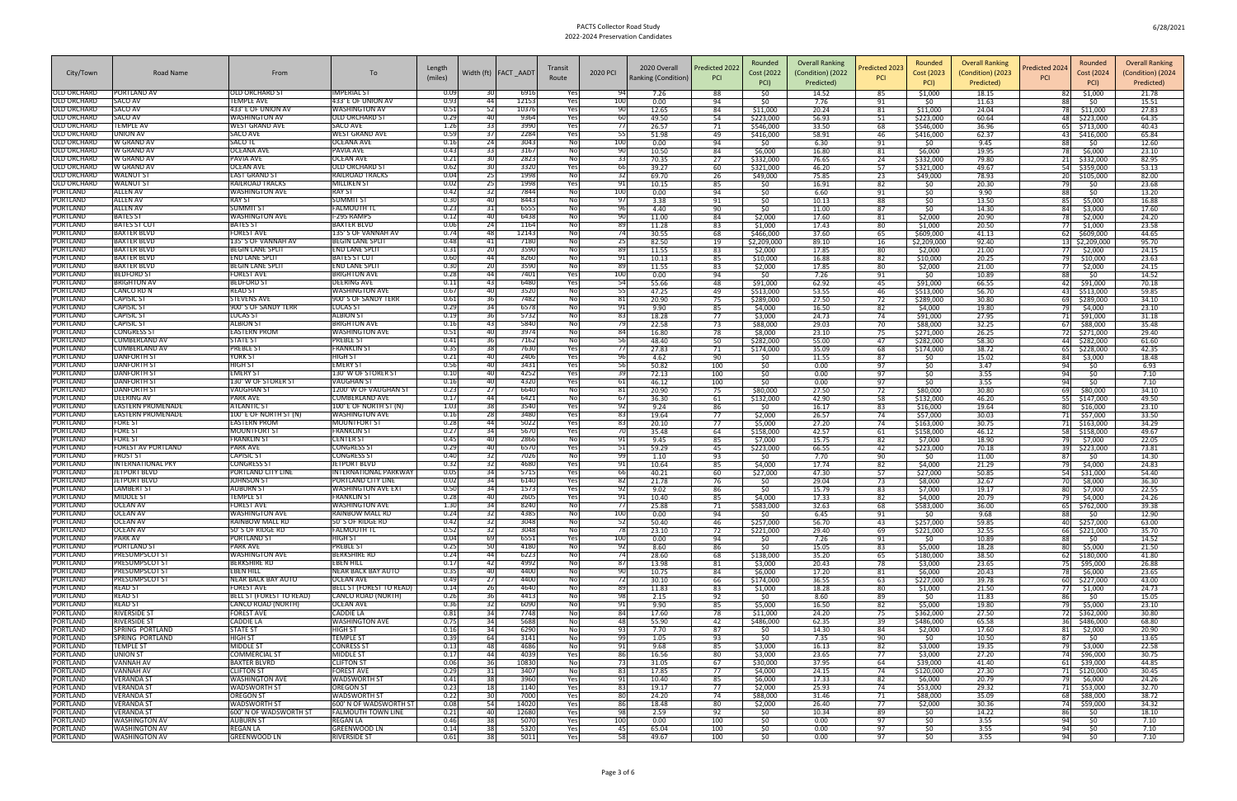|                                          |                                                  |                                             |                                               | Length       |                         |                        | Transit       |            | 2020 Overall        | Predicted 2022 | Rounded                | <b>Overall Ranking</b> | redicted 2023 | Rounded                | <b>Overall Ranking</b>          | Rounded<br>Predicted 202             | <b>Overall Ranking</b>          |
|------------------------------------------|--------------------------------------------------|---------------------------------------------|-----------------------------------------------|--------------|-------------------------|------------------------|---------------|------------|---------------------|----------------|------------------------|------------------------|---------------|------------------------|---------------------------------|--------------------------------------|---------------------------------|
| City/Town                                | Road Name                                        | From                                        | To                                            | (miles)      |                         | Width (ft)   FACT AADT | Route         | 2020 PCI   | Ranking (Condition) | <b>PCI</b>     | Cost (2022<br>PCI)     | (Condition) (2022      | <b>PCI</b>    | Cost (2023<br>PCI)     | (Condition) (2023<br>Predicted) | Cost (2024<br><b>PCI</b><br>PCI)     | (Condition) (2024<br>Predicted) |
| <b>OLD ORCHARD</b>                       | PORTLAND AV                                      | <b>OLD ORCHARD ST</b>                       | <b>IMPERIAL ST</b>                            | 0.09         |                         | 6916                   | Yes           | 94         | 7.26                | 88             | \$0                    | Predicted)<br>14.52    | 85            | \$1,000                | 18.15                           | \$1,000<br>82                        | 21.78                           |
| OLD ORCHARD                              | SACO AV                                          | <b>TEMPLE AVE</b>                           | 433' E OF UNION AV                            | 0.93         | 441                     | 12153                  | Yes           | 100        | 0.00                | 94             | \$0                    | 7.76                   | 91            | \$0                    | 11.63                           | \$0                                  | 15.51                           |
| <b>OLD ORCHARD</b><br><b>OLD ORCHARD</b> | <b>SACO AV</b><br>SACO AV                        | 433' E OF UNION AV<br><b>WASHINGTON AV</b>  | WASHINGTON AV<br><b>OLD ORCHARD ST</b>        | 0.51<br>0.29 | 52                      | 10376<br>9364          | Yes<br>Yes    | 90<br>-60  | 12.65<br>49.50      | 84<br>54       | \$11,000<br>\$223,000  | 20.24<br>56.93         | 81<br>51      | \$11,000<br>\$223,000  | 24.04<br>60.64                  | \$11,000<br>\$223,000                | 27.83<br>64.35                  |
| OLD ORCHARD                              | <b>TEMPLE AV</b>                                 | WEST GRAND AVE                              | SACO AVE                                      | 1.26         |                         | 3990                   | Yes           | -77        | 26.57               | 71             | \$546,000              | 33.50                  | 68            | \$546,000              | 36.96                           | \$713,000                            | 40.43                           |
| <b>OLD ORCHARD</b><br><b>OLD ORCHARD</b> | <b>UNION AV</b><br>W GRAND AV                    | SACO AVE<br>SACO TL                         | <b>WEST GRAND AVE</b><br>OCEANA AVE           | 0.59<br>0.16 | 37 <sup>1</sup><br>-241 | 2284<br>3043           | Yes<br>2<br>2 | 55<br>100  | 51.98<br>0.00       | 49<br>94       | \$416,000<br>\$0       | 58.91<br>6.30          | 46<br>91      | \$416,000<br>SO.       | 62.37<br>9.45                   | \$416,000<br>43 I<br>S0              | 65.84<br>12.60                  |
| <b>OLD ORCHARD</b>                       | W GRAND AV                                       | OCEANA AVE                                  | PAVIA AVE                                     | 0.43         | 331                     | 3167                   | No            | -90        | 10.50               | 84             | \$6,000                | 16.80                  | 81            | \$6,000                | 19.95                           | \$6,000<br>78                        | 23.10                           |
| <b>OLD ORCHARD</b>                       | W GRAND AV                                       | PAVIA AVE                                   | <b>OCEAN AVE</b>                              | 0.21<br>0.62 |                         | 2823                   | No            | 33         | 70.35<br>39.27      | 27             | \$332,000              | 76.65<br>46.20         | 24            | \$332,000              | 79.80<br>49.67                  | 21 <sup>1</sup><br>\$332,000         | 82.95<br>53.13                  |
| <b>OLD ORCHARD</b><br><b>OLD ORCHARD</b> | W GRAND AV<br><b>WALNUT ST</b>                   | <b>OCEAN AVE</b><br>EAST GRAND ST           | <b>OLD ORCHARD ST</b><br>RAILROAD TRACKS      | 0.04         | 25                      | 3320<br>1998           | Yes<br>Nol    | 66<br>-32  | 69.70               | 60<br>26       | \$321,000<br>\$49,000  | 75.85                  | 57<br>23      | \$321,000<br>\$49,000  | 78.93                           | \$359,000<br>\$105,000               | 82.00                           |
| OLD ORCHARD                              | <b>WALNUT ST</b>                                 | RAILROAD TRACKS                             | MILLIKEN ST                                   | 0.02         | 25                      | 1998                   | Yes           | 91         | 10.15               | 85             | \$0                    | 16.91                  | 82            | \$0                    | 20.30                           | \$0<br>791                           | 23.68                           |
| PORTLAND<br>PORTLAND                     | <b>ALLEN AV</b><br><b>ALLEN AV</b>               | <b>WASHINGTON AVE</b><br>RAY ST             | <b>RAY ST</b><br>SUMMIT S                     | 0.42<br>0.30 | 32<br>40                | 7844<br>8443           | No<br>2<br>2  | 100<br>97  | 0.00<br>3.38        | 94<br>91       | \$0<br>\$0             | 6.60<br>10.13          | 91<br>88      | \$0<br>\$0             | 9.90<br>13.50                   | \$0<br>\$5,000                       | 13.20<br>16.88                  |
| PORTLAND                                 | <b>ALLEN AV</b>                                  | SUMMIT ST                                   | FALMOUTH <sup>-</sup>                         | 0.23         | 31                      | 6555                   | No            | 96         | 4.40                | 90             | \$0                    | 11.00                  | 87            | \$0                    | 14.30                           | \$3,000                              | 17.60                           |
| PORTLAND<br>PORTLAND                     | <b>BATES ST</b><br><b>BATES ST CUT</b>           | WASHINGTON AVE<br>BATES ST                  | <b>-295 RAMPS</b><br><b>BAXTER BLVD</b>       | 0.12<br>0.06 | 40<br>24                | 6438<br>1164           | No<br>No      | 90<br>89   | 11.00<br>11.28      | 84<br>83       | \$2,000<br>\$1,000     | 17.60<br>17.43         | 81<br>80      | \$2,000<br>\$1,000     | 20.90<br>20.50                  | \$2,000<br>\$1,000                   | 24.20<br>23.58                  |
| PORTLAND                                 | <b>BAXTER BLVD</b>                               | <b>FOREST AVE</b>                           | 135' S OF VANNAH AV                           | 0.74         | 48                      | 12143                  | No            | -74        | 30.55               | 68             | \$466,000              | 37.60                  | 65            | \$609,000              | 41.13                           | \$609,000<br>62                      | 44.65                           |
| PORTLAND                                 | <b>BAXTER BLVD</b>                               | 135' S OF VANNAH AV                         | <b>BEGIN LANE SPLIT</b>                       | 0.48         | 41                      | 7180                   | No            | 25         | 82.50               | 19             | \$2,209,000            | 89.10                  | 16            | \$2,209,000            | 92.40                           | \$2,209,000                          | 95.70                           |
| PORTLAND<br>PORTLAND                     | <b>BAXTER BLVD</b><br><b>BAXTER BLVD</b>         | <b>BEGIN LANE SPLIT</b><br>END LANE SPLIT   | END LANE SPLIT<br><b>BATES ST CUT</b>         | 0.31<br>0.60 | 20<br>44                | 3590<br>8260           | No<br>2<br>2  | 89<br>91   | 11.55<br>10.13      | 83<br>85       | \$2,000<br>\$10,000    | 17.85<br>16.88         | 80<br>82      | \$2,000<br>\$10,000    | 21.00<br>20.25                  | \$2,000<br>\$10,000                  | 24.15<br>23.63                  |
| PORTLAND                                 | <b>BAXTER BLVD</b>                               | BEGIN LANE SPLIT                            | END LANE SPLI                                 | 0.3C         | <b>20</b>               | 3590                   | No            | -89        | 11.55               | 83             | \$2,000                | 17.85                  | 80            | \$2,000                | 21.00                           | \$2,000                              | 24.15                           |
| PORTLAND<br>PORTLAND                     | <b>BEDFORD ST</b><br><b>BRIGHTON AV</b>          | <b>FOREST AVE</b><br>BEDFORD ST             | <b>BRIGHTON AVE</b><br><b>DEERING AVE</b>     | 0.28<br>0.11 | 44<br>43 <sub>l</sub>   | 7401<br>6480           | Yes<br>Yes    | 100<br>-54 | 0.00<br>55.66       | 94<br>48       | \$0<br>\$91,000        | 7.26<br>62.92          | 91<br>45      | \$0<br>\$91,000        | 10.89<br>66.55                  | \$0<br>\$91,000                      | 14.52<br>70.18                  |
| PORTLAND                                 | <b>CANCO RD N</b>                                | <b>READ ST</b>                              | <b>WASHINGTON AVE</b>                         | 0.67         | 40                      | 3520                   | Nol           | 55         | 47.25               | 49             | \$513,000              | 53.55                  | 46            | \$513,000              | 56.70                           | \$513,000<br>43                      | 59.85                           |
| PORTLAND<br>PORTLAND                     | <b>CAPISIC ST</b><br><b>CAPISIC ST</b>           | STEVENS AVE<br>900'S OF SANDY TERR          | 900' S OF SANDY TERR<br><b>LUCAS ST</b>       | 0.61<br>0.29 | 34                      | 7482<br>6578           | No<br>No      | 81<br>91   | 20.90<br>9.90       | 75<br>85       | \$289,000<br>\$4,000   | 27.50<br>16.50         | 72<br>82      | \$289,000<br>\$4,000   | 30.80<br>19.80                  | \$289,000<br>69 I<br>\$4,000         | 34.10<br>23.10                  |
| PORTLAND                                 | <b>CAPISIC ST</b>                                | <b>LUCAS ST</b>                             | <b>ALBION ST</b>                              | 0.19         | 36                      | 5732                   | No            | -83        | 18.28               | 77             | \$3,000                | 24.73                  | 74            | \$91,000               | 27.95                           | \$91,000                             | 31.18                           |
| PORTLAND                                 | <b>CAPISIC ST</b>                                | <b>ALBION ST</b>                            | <b>BRIGHTON AVE</b>                           | 0.16         | 431                     | 5840                   | No            | -79        | 22.58               | 73             | \$88,000               | 29.03                  | 70            | \$88,000               | 32.25                           | \$88,000<br>-67                      | 35.48                           |
| PORTLAND<br>PORTLAND                     | CONGRESS ST<br>CUMBERLAND AV                     | <b>EASTERN PROM</b><br>STATE S1             | WASHINGTON AVE<br><b>PREBLE ST</b>            | 0.51<br>0.41 | 36                      | 3974<br>7162           | No<br>No      | -84<br>56  | 16.80<br>48.40      | 78<br>50       | \$8,000<br>\$282,000   | 23.10<br>55.00         | 75<br>47      | \$271,000<br>\$282,000 | 26.25<br>58.30                  | \$271,000<br>\$282,000               | 29.40<br>61.60                  |
| PORTLAND                                 | <b>CUMBERLAND AV</b>                             | PREBLE ST                                   | <b>FRANKLIN S</b>                             | 0.35         | 381                     | 7630                   | Yes           | -77        | 27.83               | 71             | \$174,000              | 35.09                  | 68            | \$174,000              | 38.72                           | \$228,000                            | 42.35                           |
| PORTLAND<br>PORTLAND                     | <b>DANFORTH ST</b><br><b>DANFORTH ST</b>         | YORK ST<br>HIGH ST                          | HIGH ST<br><b>EMERY ST</b>                    | 0.21<br>0.56 | 40                      | 2406<br>3431           | Yes<br>Yes    | 96<br>56   | 4.62<br>50.82       | 90<br>100      | \$0<br>\$0             | 11.55<br>0.00          | 87<br>97      | \$0<br>\$0             | 15.02<br>3.47                   | 84<br>\$3,000<br>\$0<br>94           | 18.48<br>6.93                   |
| PORTLAND                                 | DANFORTH S1                                      | <b>EMERY ST</b>                             | 130' W OF STORER ST                           | 0.10         |                         | 4252                   | Yes           | -39        | 72.13               | 100            | \$0                    | 0.00                   | 97            | \$0                    | 3.55                            | \$0                                  | 7.10                            |
| PORTLAND<br>PORTLAND                     | <b>DANFORTH ST</b><br><b>DANFORTH ST</b>         | 130' W OF STORER ST<br>VAUGHAN S            | <b>VAUGHAN S</b><br>1200'W OF VAUGHAN ST      | 0.16<br>0.23 |                         | 4320<br>6640           | Yes           | 61<br>81   | 46.12<br>20.90      | 100<br>75      | \$0<br>\$80,000        | 0.00<br>27.50          | -97<br>72     | 50<br>\$80,000         | 3.55<br>30.80                   | S0                                   | 7.10<br>34.10                   |
| PORTLAND                                 | DEERING AV                                       | PARK AVE                                    | CUMBERLAND AVE                                | 0.17         | 27<br>44                | 6421                   | No<br>No      | 67         | 36.30               | 61             | \$132,000              | 42.90                  | 58            | \$132,000              | 46.20                           | \$80,000<br>\$147,000                | 49.50                           |
| PORTLAND                                 | <b>EASTERN PROMENADE</b>                         | <b>ATLANTIC ST</b>                          | 100' E OF NORTH ST (N                         | 1.03         | 38                      | 3540                   | Yes           | 92         | 9.24                | 86             | \$0                    | 16.17                  | 83            | \$16,000               | 19.64                           | \$16,000                             | 23.10                           |
| PORTLAND<br>PORTLAND                     | <b>EASTERN PROMENADE</b><br><b>FORE ST</b>       | 100' E OF NORTH ST (N)<br>EASTERN PROM      | WASHINGTON AVI<br><b>MOUNTFORT ST</b>         | 0.16<br>0.28 | 44                      | 3480<br>5022           | Yes<br>Yes    | -83<br>-83 | 19.64<br>20.10      | 77<br>77       | \$2,000<br>\$5,000     | 26.57<br>27.20         | 74<br>74      | \$57,000<br>\$163,000  | 30.03<br>30.75                  | \$57,000<br>71  <br>\$163,000        | 33.50<br>34.29                  |
| PORTLAND                                 | <b>FORE ST</b>                                   | <b>MOUNTFORT ST</b>                         | <b>FRANKLIN ST</b>                            | 0.27         | 34                      | 5670                   | Yes           | 70         | 35.48               | 64             | \$158,000              | 42.57                  | 61            | \$158,000              | 46.12                           | \$158,000                            | 49.67                           |
| PORTLAND<br>PORTLAND                     | <b>FORE ST</b><br><b>FOREST AV PORTLAND</b>      | FRANKLIN S<br>PARK AVE                      | <b>CENTER ST</b><br>CONGRESS ST               | 0.45<br>0.29 | 40                      | 2866<br>6570           | 2<br>2<br>Yes | 91<br>-51  | 9.45<br>59.29       | 85<br>45       | \$7,000<br>\$223,000   | 15.75<br>66.55         | 82<br>42      | \$7,000<br>\$223,000   | 18.90<br>70.18                  | \$7,000<br>\$223,000                 | 22.05<br>73.81                  |
| PORTLAND                                 | <b>FROST ST</b>                                  | <b>CAPISIC ST</b>                           | CONGRESS ST                                   | 0.40         | 32                      | 7026                   | No            | -99        | 1.10                | 93             | \$0                    | 7.70                   | 90            | \$0                    | 11.00                           | 87<br>S0                             | 14.30                           |
| <b>PORTLAND</b><br><b>PORTLAND</b>       | <b>INTERNATIONAL PKY</b><br>JETPORT BLVD         | CONGRESS ST<br>PORTLAND CITY LINE           | <b>JETPORT BLVD</b><br>INTERNATIONAL PARKWAY  | 0.32<br>0.05 | 321<br>34               | 4680<br>5715           | Yes<br>Yes    | 91<br>66   | 10.64<br>40.21      | 85<br>60       | \$4,000<br>\$27,000    | 17.74<br>47.30         | 82<br>57      | \$4,000<br>\$27,000    | 21.29<br>50.85                  | \$4,000<br>\$31,000<br>54            | 24.83<br>54.40                  |
| PORTLAND                                 | <b>JETPORT BLVD</b>                              | JOHNSON S                                   | <b>PORTLAND CITY LINE</b>                     | 0.02         |                         | 6140                   | Yes           | 8.         | 21.78               | 76             | \$0                    | 29.04                  | 73            | \$8,000                | 32.67                           | \$8,000                              | 36.30                           |
| PORTLAND                                 | <b>LAMBERT ST</b>                                | AUBURN S <sup>-</sup>                       | <b>WASHINGTON AVE EXT</b>                     | 0.5C         | 40                      | 1573                   | Yes           | 92         | 9.02<br>10.40       | 86             | \$0                    | 15.79                  | 83            | \$7,000                | 19.17                           | \$7,000                              | 22.55                           |
| PORTLAND<br>PORTLAND                     | <b>MIDDLE ST</b><br>OCEAN AV                     | <b>TEMPLE ST</b><br>FOREST AVE              | FRANKLIN ST<br>WASHINGTON AVE                 | 0.28<br>1.30 |                         | 2605<br>8240           | Yes           | 91         | 25.88               | 85<br>71       | \$4,000<br>\$583,000   | 17.33<br>32.63         | 82<br>68      | \$4,000<br>\$583,000   | 20.79<br>36.00                  | \$4,000<br>65<br>\$762,000           | 24.26<br>39.38                  |
| PORTLAND                                 | <b>OCEAN AV</b>                                  | <b>WASHINGTON AVE</b>                       | RAINBOW MALL RD                               | 0.24         | 32                      | 4385                   | No            | 100        | 0.00                | 94             | 50                     | 6.45                   | 91            | \$0                    | 9.68                            | 50<br>88                             | 12.90                           |
| PORTLAND<br>PORTLAND                     | OCEAN AV<br><b>OCEAN AV</b>                      | <b>RAINBOW MALL RD</b><br>50' S OF RIDGE RD | 50'S OF RIDGE RD<br><b>FALMOUTH TL</b>        | 0.42<br>0.52 | 32<br>32                | 3048<br>3048           | Nol<br>No     | 52<br>78   | 50.40<br>23.10      | 46<br>72       | \$257,000<br>\$221,000 | 56.70<br>29.40         | $-43$<br>69   | \$257,000<br>\$221,000 | 59.85<br>32.55                  | 40<br>\$257,000<br>\$221,000<br>-661 | 63.00<br>35.70                  |
| PORTLAND                                 | <b>PARK AV</b>                                   | PORTLAND ST                                 | HIGH ST                                       | 0.04         | 69                      | 6551                   | Yes           | 100        | 0.00                | 94             | \$0                    | 7.26                   | 91            | \$0                    | 10.89                           | \$0<br>88                            | 14.52                           |
| PORTLAND<br>PORTLAND                     | <b>PORTLAND ST</b><br><b>PRESUMPSCOT ST</b>      | PARK AVE<br><b>WASHINGTON AVE</b>           | <b>PREBLE ST</b><br><b>BERKSHIRE RD</b>       | 0.25<br>0.24 | 50<br>441               | 4180<br>6223           | No<br>2<br>2  | 92<br>-74  | 8.60<br>28.60       | 86<br>68       | \$0<br>\$138,000       | 15.05<br>35.20         | 83<br>65      | \$5,000<br>\$180,000   | 18.28<br>38.50                  | 80<br>\$5,000<br>\$180,000<br>-62 I  | 21.50<br>41.80                  |
| PORTLAND                                 | <b>PRESUMPSCOT ST</b>                            | <b>BERKSHIRE RD</b>                         | <b>EBEN HILL</b>                              | 0.17         | 42                      | 4992                   | Nol           | 87         | 13.98               | 81             | \$3,000                | 20.43                  | 78            | \$3,000                | 23.65                           | \$95,000<br>75 I                     | 26.88                           |
| PORTLAND<br>PORTLAND                     | <b>PRESUMPSCOT ST</b><br><b>PRESUMPSCOT ST</b>   | <b>EBEN HILL</b><br>NEAR BACK BAY AUTO      | <b>NEAR BACK BAY AUTO</b><br><b>OCEAN AVE</b> | 0.35<br>0.49 | 40<br>271               | 4400<br>4400           | No<br>2<br>2  | 90<br>72   | 10.75<br>30.10      | 84<br>66       | \$6,000<br>\$174,000   | 17.20<br>36.55         | 81<br>63      | \$6,000<br>\$227,000   | 20.43<br>39.78                  | \$6,000<br>78<br>60 I<br>\$227,000   | 23.65<br>43.00                  |
| PORTLAND                                 | <b>READ ST</b>                                   | <b>FOREST AVE</b>                           | <b>BELL ST (FOREST TO READ)</b>               | 0.14         | 26                      | 4640                   | Nol           | -89        | 11.83               | 83             | \$1,000                | 18.28                  | 80            | \$1,000                | 21.50                           | \$1,000<br>77 I                      | 24.73                           |
| PORTLAND                                 | <b>READ ST</b>                                   | BELL ST (FOREST TO READ                     | <b>CANCO ROAD (NORTH)</b>                     | 0.26         | 36                      | 4413                   | No            | 98         | 2.15                | 92             | \$0                    | 8.60                   | 89            | 50                     | 11.83                           | \$0<br>86                            | 15.05                           |
| PORTLAND<br>PORTLAND                     | <b>READ ST</b><br><b>RIVERSIDE ST</b>            | CANCO ROAD (NORTH)<br><b>FOREST AVE</b>     | <b>OCEAN AVE</b><br><b>CADDIE LA</b>          | 0.36<br>0.81 | 32<br>34                | 6090<br>7748           | Nol<br>Nol    | 91<br>84   | 9.90<br>17.60       | 85<br>78       | \$5,000<br>\$11,000    | 16.50<br>24.20         | 82<br>75      | \$5,000<br>\$362,000   | 19.80<br>27.50                  | \$5,000<br>79<br>72 \$362,000        | 23.10<br>30.80                  |
| PORTLAND                                 | <b>RIVERSIDE ST</b>                              | <b>CADDIE LA</b>                            | <b>WASHINGTON AVE</b>                         | 0.75         | 34                      | 5688                   | Nol           | 48         | 55.90               | 42             | \$486,000              | 62.35                  | 39            | \$486,000              | 65.58                           | \$486,000<br>361                     | 68.80                           |
| PORTLAND<br>PORTLAND                     | <b>SPRING PORTLAND</b><br><b>SPRING PORTLAND</b> | <b>STATE ST</b><br><b>HIGH ST</b>           | HIGH ST<br><b>TEMPLE ST</b>                   | 0.16<br>0.39 | 34<br>64                | 6290<br>3141           | 2<br>2<br>Nol | 93<br>99   | 7.70<br>1.05        | -87<br>93      | 50<br>\$0              | 14.30<br>7.35          | -84<br>90     | \$2,000<br>\$0         | 17.60<br>10.50                  | \$2,000<br>81 <br>\$0<br>87          | 20.90<br>13.65                  |
| PORTLAND                                 | <b>TEMPLE ST</b>                                 | <b>MIDDLE ST</b>                            | <b>CONRESS ST</b>                             | 0.13         | 48                      | 4686                   | 2<br>2        | 91         | 9.68                | 85             | \$3,000                | 16.13                  | 82            | \$3,000                | 19.35                           | \$3,000<br>79                        | 22.58                           |
| PORTLAND<br><b>PORTLAND</b>              | <b>UNION ST</b><br><b>VANNAH AV</b>              | COMMERCIAL ST<br><b>BAXTER BLVRD</b>        | <b>MIDDLE ST</b><br><b>CLIFTON ST</b>         | 0.17<br>0.06 | 441<br>36               | 4039<br>10830          | Yes<br>2<br>2 | 86<br>73   | 16.56<br>31.05      | 80<br>67       | \$3,000<br>\$30,000    | 23.65<br>37.95         | 77<br>64      | \$3,000<br>\$39,000    | 27.20<br>41.40                  | \$96,000<br>74<br>61 \$39,000        | 30.75<br>44.85                  |
| PORTLAND                                 | <b>VANNAH AV</b>                                 | <b>CLIFTON ST</b>                           | <b>FOREST AVE</b>                             | 0.29         | 31                      | 3407                   | No            | 83         | 17.85               | 77             | \$4,000                | 24.15                  | 74            | \$120,000              | 27.30                           | 71 \$120,000                         | 30.45                           |
| PORTLAND                                 | <b>VERANDA ST</b>                                | <b>WASHINGTON AVE</b>                       | <b>WADSWORTH ST</b>                           | 0.41         | 381                     | 3960                   | Yes           | 91         | 10.40               | 85             | \$6,000                | 17.33                  | 82            | \$6,000                | 20.79                           | \$6,000<br>791                       | 24.26                           |
| PORTLAND<br>PORTLAND                     | <b>VERANDA ST</b><br><b>VERANDA ST</b>           | <b>WADSWORTH ST</b><br><b>OREGON ST</b>     | <b>OREGON ST</b><br><b>WADSWORTH ST</b>       | 0.23<br>0.22 | 18<br>30                | 1140<br>7000           | Yes<br>Yes    | 83<br>-80  | 19.17<br>24.20      | 77<br>74       | \$2,000<br>\$88,000    | 25.93<br>31.46         | 74<br>71      | \$53,000<br>\$88,000   | 29.32<br>35.09                  | \$53,000<br>71  <br>\$88,000<br>68   | 32.70<br>38.72                  |
| PORTLAND                                 | <b>VERANDA ST</b>                                | <b>WADSWORTH ST</b>                         | 600' N OF WADSWORTH ST                        | 0.08         | 54                      | 14020                  | Yes           | 86         | 18.48               | 80             | \$2,000                | 26.40                  | 77            | \$2,000                | 30.36                           | \$59,000<br>74 I                     | 34.32                           |
| PORTLAND<br>PORTLAND                     | <b>VERANDA ST</b><br><b>WASHINGTON AV</b>        | 600' N OF WADSWORTH ST<br><b>AUBURN ST</b>  | <b>FALMOUTH TOWN LINE</b><br>REGAN LA         | 0.21<br>0.46 | 38                      | 12680<br>5070          | Yes<br>Yes    | 98<br>100  | 2.59<br>0.00        | 92<br>100      | \$0<br>\$0             | 10.34<br>0.00          | 89<br>-97     | \$0<br>50              | 14.22<br>3.55                   | \$0<br>86<br>50<br>94                | 18.10<br>7.10                   |
| PORTLAND                                 | <b>WASHINGTON AV</b>                             | <b>REGAN LA</b>                             | <b>GREENWOOD LN</b>                           | 0.14         | 38                      | 5320                   | Yes           | 45         | 65.04               | 100            | 50                     | 0.00                   | 97            | \$0                    | 3.55                            | 94<br>\$0                            | 7.10                            |
| PORTLAND                                 | <b>WASHINGTON AV</b>                             | <b>GREENWOOD LN</b>                         | RIVERSIDE ST                                  | 0.61         | 38                      | 5011                   | Yes           | 58         | 49.67               | 100            | \$0                    | 0.00                   | 97            | $\frac{1}{2}$          | 3.55                            | 94<br>\$0                            | 7.10                            |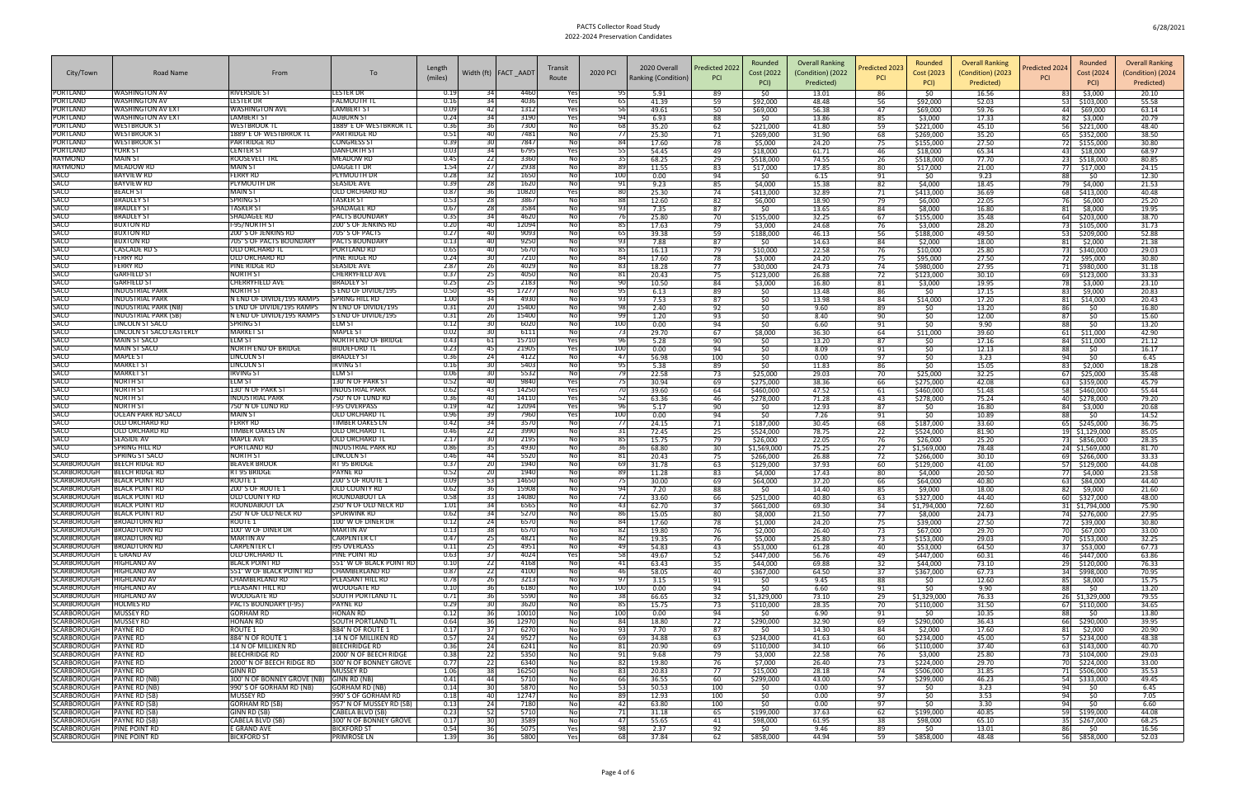| City/Town                         | Road Name                                            | From                                                   | To                                                | Length<br>(miles) |                 | Width (ft)   FACT _AADT | Transit<br>Route | 2020 PCI   | 2020 Overall<br>Ranking (Condition) | Predicted 2022<br><b>PCI</b> | Rounded<br>Cost (2022<br>PCI) | <b>Overall Ranking</b><br>(Condition) (2022<br>Predicted) | redicted 2023'<br><b>PCI</b> | Rounded<br>Cost (2023<br>PCI) | <b>Overall Ranking</b><br>(Condition) (2023<br>Predicted) | Rounded<br>Predicted 2024<br>Cost (2024<br><b>PCI</b><br>PCI) | <b>Overall Ranking</b><br>(Condition) (2024<br>Predicted) |
|-----------------------------------|------------------------------------------------------|--------------------------------------------------------|---------------------------------------------------|-------------------|-----------------|-------------------------|------------------|------------|-------------------------------------|------------------------------|-------------------------------|-----------------------------------------------------------|------------------------------|-------------------------------|-----------------------------------------------------------|---------------------------------------------------------------|-----------------------------------------------------------|
| PORTLAND                          | <b>WASHINGTON AV</b>                                 | RIVERSIDE ST                                           | ESTER DR.                                         | 0.19              |                 | 4460                    | Yes              | 95         | 5.91                                | 89                           | \$0                           | 13.01                                                     | 86                           | \$0                           | 16.56                                                     | \$3,000<br>83 I                                               | 20.10                                                     |
| PORTLAND                          | <b>WASHINGTON AV</b>                                 | LESTER DR                                              | <b>FALMOUTH TL</b>                                | 0.16              |                 | 4036                    | Yes              | 65         | 41.39                               | 59                           | \$92,000                      | 48.48                                                     | 56                           | \$92,000                      | 52.03                                                     | 53 \$103,000                                                  | 55.58                                                     |
| PORTLAND<br>PORTLAND              | <b>WASHINGTON AV EXT</b><br><b>WASHINGTON AV EXT</b> | <b>WASHINGTON AVE</b><br><b>LAMBERT ST</b>             | <b>LAMBERT ST</b><br><b>AUBURN ST</b>             | 0.09<br>0.24      | -421            | 1312<br>3190            | Yes<br>Yes       | 56         | 49.61<br>6.93                       | 50<br>88                     | \$69,000<br>\$0               | 56.38<br>13.86                                            | 47<br>85                     | \$69,000<br>\$3,000           | 59.76<br>17.33                                            | 44 \$69,000<br>82<br>\$3,000                                  | 63.14<br>20.79                                            |
| PORTLAND                          | <b>WESTBROOK ST</b>                                  | <b>WESTBROOK TL</b>                                    | 1889' E OF WESTBRROK TI                           | 0.36              |                 | 7300                    | Nol              | -68        | 35.20                               | 62                           | \$221,000                     | 41.80                                                     | 59                           | \$221,000                     | 45.10                                                     | 56<br>\$221,000                                               | 48.40                                                     |
| PORTLAND                          | <b>WESTBROOK ST</b>                                  | 1889' E OF WESTBRROK TI                                | <b>PARTRIDGE RD</b>                               | 0.51              | 40              | 7481                    | No               | -77        | 25.30                               | 71                           | \$269,000                     | 31.90                                                     | 68                           | \$269,000                     | 35.20                                                     | 65 \$352,000                                                  | 38.50                                                     |
| PORTLAND<br>PORTLAND              | <b>WESTBROOK ST</b><br>YORK ST                       | PARTRIDGE RD<br><b>CENTER ST</b>                       | <b>CONGRESS ST</b><br><b>DANFORTH ST</b>          | 0.39<br>0.03      | 34              | 7847<br>6795            | No<br>Yes        | 84<br>55   | 17.60<br>54.45                      | 78<br>49                     | \$5,000<br>\$18,000           | 24.20<br>61.71                                            | -75<br>46                    | \$155,000<br>\$18,000         | 27.50<br>65.34                                            | 72 \$155,000<br>43 \$18,000                                   | 30.80<br>68.97                                            |
| RAYMOND                           | <b>MAIN ST</b>                                       | ROOSEVELT TRL                                          | <b>MEADOW RD</b>                                  | 0.45              | 22              | 3360                    | No               | 35         | 68.25                               | 29                           | \$518,000                     | 74.55                                                     | 26                           | \$518,000                     | 77.70                                                     | 23 \$518,000                                                  | 80.85                                                     |
| RAYMOND                           | <b>MEADOW RD</b>                                     | <b>MAIN ST</b>                                         | <b>DAGGETT DR</b>                                 | 1.54              | -271            | 2938                    | Nol              | -89        | 11.55                               | 83                           | \$17,000                      | 17.85                                                     | 80                           | \$17,000                      | 21.00                                                     | 77 \$17,000                                                   | 24.15                                                     |
| SACO<br>SACO                      | <b>BAYVIEW RD</b><br><b>BAYVIEW RD</b>               | <b>FERRY RD</b><br>PLYMOUTH DR                         | <b>PLYMOUTH DR</b><br><b>SEASIDE AVE</b>          | 0.28<br>0.39      | 28              | 1650<br>1620            | No<br>No         | 100<br>91  | 0.00<br>9.23                        | 94<br>85                     | -SO<br>\$4,000                | 6.15<br>15.38                                             | 91<br>82                     | \$0<br>\$4,000                | 9.23<br>18.45                                             | 88<br>SO.<br>79<br>\$4,000                                    | 12.30<br>21.53                                            |
| SACO                              | <b>BEACH ST</b>                                      | MAIN ST                                                | OLD ORCHARD RD                                    | 0.87              | 361             | 10820                   | Yes              | -80        | 25.30                               | 74                           | \$413,000                     | 32.89                                                     | 71                           | \$413,000                     | 36.69                                                     | 68<br>\$413,000                                               | 40.48                                                     |
| SACO                              | <b>BRADLEY ST</b>                                    | <b>SPRING ST</b>                                       | <b>TASKER ST</b>                                  | 0.53              | 28              | 3867                    | No               | 88         | 12.60                               | 82                           | \$6,000                       | 18.90                                                     | -79                          | \$6,000                       | 22.05                                                     | \$6,000<br>76                                                 | 25.20                                                     |
| SACO<br>SACO                      | <b>BRADLEY ST</b><br><b>BRADLEY ST</b>               | <b>TASKER ST</b><br>SHADAGEE RD                        | SHADAGEE RD<br>PACTS BOUNDARY                     | 0.67<br>0.35      | 34              | 3584<br>4620            | Nol<br>No        | 93<br>-76  | 7.35<br>25.80                       | 87<br>70                     | \$0<br>\$155,000              | 13.65<br>32.25                                            | 84<br>67                     | \$8,000<br>\$155,000          | 16.80<br>35.48                                            | 81 \$8,000<br>64 \$203,000                                    | 19.95<br>38.70                                            |
| SACO                              | <b>BUXTON RD</b>                                     | I-95/NORTH ST                                          | 200'S OF JENKINS RD                               | 0.20              | 40              | 12094                   | No               | 85         | 17.63                               | 79                           | \$3,000                       | 24.68                                                     | 76                           | \$3,000                       | 28.20                                                     | 73 \$105,000                                                  | 31.73                                                     |
| SACO                              | BUXTON RD                                            | 200' S OF JENKINS RD                                   | 705'S OF PACTS                                    | 0.27              |                 | 9093                    | No               | 65         | 39.38                               | 59                           | \$188,000                     | 46.13                                                     | 56                           | \$188,000                     | 49.50                                                     | 53 \$209,000                                                  | 52.88                                                     |
| SACO<br>SACO                      | <b>BUXTON RD</b><br><b>CASCADE RD S</b>              | 705' S OF PACTS BOUNDARY<br>OLD ORCHARD T              | <b>PACTS BOUNDARY</b><br>PORTLAND RD              | 0.13<br>0.65      | 40              | 9250<br>5670            | Nol<br>No        | 93<br>85   | 7.88<br>16.13                       | 87<br>79                     | 50<br>\$10,000                | 14.63<br>22.58                                            | 84<br>-76                    | \$2,000<br>\$10,000           | 18.00<br>25.80                                            | $81$ \$2,000<br>73 \$340,000                                  | 21.38<br>29.03                                            |
| SACO                              | <b>FERRY RD</b>                                      | <b>OLD ORCHARD RD</b>                                  | PINE RIDGE RD                                     | 0.24              |                 | 7210                    | Nol              | 84         | 17.60                               | 78                           | \$3,000                       | 24.20                                                     | 75                           | \$95,000                      | 27.50                                                     | 72 \$95,000                                                   | 30.80                                                     |
| SACO                              | <b>FERRY RD</b>                                      | PINE RIDGE RD                                          | <b>SEASIDE AVE</b>                                | 2.87              | 26              | 4029                    | No               | -83        | 18.28                               | 77                           | \$30,000                      | 24.73                                                     | 74                           | \$980,000                     | 27.95                                                     | 71 \$980,000                                                  | 31.18                                                     |
| SACO<br>SACO                      | GARFIELD S1<br><b>GARFIELD ST</b>                    | NORTH ST<br>CHERRYFIELD AVE                            | CHERRYFIELD AVE<br><b>BRADLEY ST</b>              | 0.37<br>0.25      | 251             | 4050<br>2183            | No<br>Nol        | -81<br>90  | 20.43<br>10.50                      | 75<br>84                     | \$123,000<br>\$3,000          | 26.88<br>16.80                                            | 72<br>81                     | \$123,000<br>\$3,000          | 30.10<br>19.95                                            | 69 \$123,000<br>78<br>\$3,000                                 | 33.33<br>23.10                                            |
| SACO                              | <b>INDUSTRIAL PARK</b>                               | <b>NORTH ST</b>                                        | S END OF DIVIDE/195                               | 0.50              | 45              | 17277                   | No               | 95         | 6.13                                | 89                           | \$0                           | 13.48                                                     | 86                           | \$0                           | 17.15                                                     | 83<br>\$9,000                                                 | 20.83                                                     |
| SACO                              | <b>INDUSTRIAL PARK</b>                               | N END OF DIVIDE/195 RAMPS                              | <b>SPRING HILL RD</b>                             | 1.00              |                 | 4930                    | No               | 93         | 7.53                                | 87                           | \$0                           | 13.98                                                     | 84                           | \$14,000                      | 17.20                                                     | 81<br>\$14,000                                                | 20.43                                                     |
| SACO<br>SACO                      | INDUSTRIAL PARK (NB<br>INDUSTRIAL PARK (SB           | S END OF DIVIDE/195 RAMPS<br>N END OF DIVIDE/195 RAMPS | N END OF DIVIDE/195<br>S END OF DIVIDE/195        | 0.31<br>0.31      | 261             | 15400<br>15400          | Nol<br>No        | 98<br>99   | 2.40<br>1.20                        | 92<br>93                     | \$0<br>\$0                    | 9.60<br>8.40                                              | 89<br>90                     | SO.<br>\$0                    | 13.20<br>12.00                                            | 861<br>\$0<br>871<br>SO.                                      | 16.80<br>15.60                                            |
| SACO                              | <b>INCOLN ST SACO</b>                                | SPRING ST                                              | ELM ST                                            | 0.12              |                 | 6020                    | No               | 100        | 0.00                                | 94                           | \$0                           | 6.60                                                      | 91                           | \$0                           | 9.90                                                      | 88<br>\$0                                                     | 13.20                                                     |
| SACO                              | LINCOLN ST SACO EASTERLY                             | MARKET ST                                              | <b>MAPLE ST</b>                                   | 0.02              |                 | 6111                    | Nol              | -73        | 29.70                               | 67                           | \$8,000                       | 36.30                                                     | 64                           | \$11,000                      | 39.60                                                     | \$11,000<br>61                                                | 42.90                                                     |
| SACO<br>SACO                      | <b>MAIN ST SACO</b><br><b>MAIN ST SACC</b>           | ELM ST<br>NORTH END OF BRIDGE                          | NORTH END OF BRIDGE<br><b>BIDDEFORD</b>           | 0.43<br>0.23      | -61 I<br>45     | 15710<br>21905          | Yes<br>Yes       | -96<br>100 | 5.28<br>0.00                        | 90<br>94                     | -SO<br>\$0                    | 13.20<br>8.09                                             | 87<br>91                     | SO.<br>\$0                    | 17.16<br>12.13                                            | 84<br>\$11,000<br>88<br>SO.                                   | 21.12<br>16.17                                            |
| SACO                              | <b>MAPLE ST</b>                                      | LINCOLN ST                                             | <b>BRADLEY ST</b>                                 | 0.36              | 24              | 4122                    | No               | 47         | 56.98                               | 100                          | \$0                           | 0.00                                                      | 97                           | \$0                           | 3.23                                                      | 94<br>\$0                                                     | 6.45                                                      |
| SACO                              | <b>MARKET S</b>                                      | LINCOLN ST                                             | <b>IRVING ST</b>                                  | 0.16              |                 | 5403                    | No               | 95         | 5.38                                | 89                           | \$0                           | 11.83                                                     | 86                           | \$0                           | 15.05                                                     | 83<br>\$2,000                                                 | 18.28                                                     |
| SACO<br>SACO                      | <b>MARKET ST</b><br><b>NORTH ST</b>                  | <b>IRVING ST</b><br>elm St                             | ELM ST<br>L30' N OF PARK ST                       | 0.06<br>0.52      |                 | 5532<br>9840            | Nol<br>Yes       | -79<br>-75 | 22.58<br>30.94                      | 73<br>69                     | \$25,000<br>\$275,000         | 29.03<br>38.36                                            | 70<br>66                     | \$25,000<br>\$275,000         | 32.25<br>42.08                                            | \$25,000<br>-67 I<br>63 \$359,000                             | 35.48<br>45.79                                            |
| SACO                              | <b>NORTH ST</b>                                      | 130' N OF PARK ST                                      | <b>INDUSTRIAL PARK</b>                            | 0.62              |                 | 14250                   | Yes              | 70         | 39.60                               | 64                           | \$460,000                     | 47.52                                                     | 61                           | \$460,000                     | 51.48                                                     | 58<br>\$460,000                                               | 55.44                                                     |
| SACO<br>SACO                      | <b>NORTH ST</b>                                      | <b>INDUSTRIAL PARK</b>                                 | 750' N OF LUND RD                                 | 0.36              |                 | 14110                   | Yes              | 52         | 63.36                               | 46                           | \$278,000                     | 71.28                                                     | 43                           | \$278,000                     | 75.24                                                     | 40<br>\$278,000                                               | 79.20                                                     |
| SACO                              | <b>NORTH ST</b><br>OCEAN PARK RD SACO                | 750' N OF LUND RD<br>MAIN ST                           | I-95 OVERPASS<br>OLD ORCHARD TI                   | 0.19<br>0.96      |                 | 12094<br>7960           | Yes<br>Yes       | -96<br>100 | 5.17<br>0.00                        | 90<br>94                     | -SO<br>\$0                    | 12.93<br>7.26                                             | 87<br>91                     | -SO<br>50                     | 16.80<br>10.89                                            | 84<br>\$3,000<br>88 <sup>7</sup><br>50                        | 20.68<br>14.52                                            |
| SACO                              | OLD ORCHARD RD                                       | FERRY RD                                               | TIMBER OAKES LN                                   | 0.42              | 34              | 3570                    | No               | -77        | 24.15                               | 71                           | \$187,000                     | 30.45                                                     | 68                           | \$187,000                     | 33.60                                                     | 65 \$245,000                                                  | 36.75                                                     |
| SACO                              | OLD ORCHARD RD                                       | <b>TIMBER OAKES LN</b>                                 | OLD ORCHARD T                                     | 0.46              | -221            | 3990                    | No               | -31        | 72.45                               | 25                           | \$524,000                     | 78.75                                                     | 22                           | \$524,000                     | 81.90                                                     | 19 \$1,129,000                                                | 85.05                                                     |
| SACO<br>SACO                      | SEASIDE AV<br>SPRING HILL RD                         | MAPLE AVE<br>PORTLAND RD                               | OLD ORCHARD T<br><b>INDUSTRIAL PARK RD</b>        | 2.17<br>0.86      | 35              | 2195<br>4930            | No<br>Nol        | 85<br>36   | 15.75<br>68.80                      | 79<br>30                     | \$26,000<br>\$1,569,000       | 22.05<br>75.25                                            | 76<br>27                     | \$26,000<br>\$1,569,000       | 25.20<br>78.48                                            | 73 \$856,000<br>24 \$1,569,000                                | 28.35<br>81.70                                            |
| SACO                              | SPRING ST SACO                                       | <b>NORTH ST</b>                                        | LINCOLN ST                                        | 0.46              | 44              | 5520                    | No               | 81         | 20.43                               | 75                           | \$266,000                     | 26.88                                                     | 72                           | \$266,000                     | 30.10                                                     | 69 \$266,000                                                  | 33.33                                                     |
| SCARBOROUGH                       | <b>BEECH RIDGE RD</b>                                | <b>BEAVER BROOK</b>                                    | RT 95 BRIDGE                                      | 0.37              | <b>20</b>       | 1940                    | No               | -69        | 31.78                               | 63                           | \$129,000                     | 37.93                                                     | 60                           | \$129,000                     | 41.00                                                     | 57 \$129,000                                                  | 44.08                                                     |
| SCARBOROUGH<br><b>SCARBOROUGH</b> | <b>BEECH RIDGE RD</b><br><b>BLACK POINT RD</b>       | RT 95 BRIDGE<br>ROUTE :                                | <b>PAYNE RD</b><br>200'S OF ROUTE 1               | 0.52<br>0.09      |                 | 1940<br>14650           | No<br>No         | 89         | 11.28<br>30.00                      | 83<br>69                     | \$4,000<br>\$64,000           | 17.43<br>37.20                                            | 80<br>66                     | \$4,000<br>\$64,000           | 20.50<br>40.80                                            | 77 \$4,000<br>63 \$84,000                                     | 23.58<br>44.40                                            |
| <b>SCARBOROUGH</b>                | <b>BLACK POINT RD</b>                                | 200' S OF ROUTE 1                                      | OLD COUNTY RD                                     | 0.62              |                 | 15908                   | Nol              | -94        | 7.20                                | 88                           | -SO                           | 14.40                                                     | 85                           | \$9,000                       | 18.00                                                     | 82<br>\$9,000                                                 | 21.60                                                     |
| SCARBOROUGH<br>SCARBOROUGH        | <b>BLACK POINT RD</b>                                | OLD COUNTY RE                                          | ROUNDABOUT LA<br>250' N OF OLD NECK RD            | 0.58<br>1.01      | 34              | 14080<br>6565           | No<br>Nol        | 43         | 33.60                               | 66                           | \$251,000                     | 40.80                                                     | 63                           | \$327,000                     | 44.40                                                     | 60 \$327,000                                                  | 48.00                                                     |
| SCARBOROUGH                       | <b>BLACK POINT RD</b><br><b>BLACK POINT RD</b>       | ROUNDABOUT LA<br>250' N OF OLD NECK RD                 | <b>SPURWINK RD</b>                                | 0.62              | -34 I           | 5270                    | No               | 86         | 62.70<br>15.05                      | 37<br>80                     | \$661,000<br>\$8,000          | 69.30<br>21.50                                            | 34<br>77                     | \$1,794,000<br>\$8,000        | 72.60<br>24.73                                            | 31 \$1,794,000<br>74 \$276,000                                | 75.90<br>27.95                                            |
| SCARBOROUGH                       | <b>BROADTURN RD</b>                                  | ROUTE 1                                                | 100' W OF DINER DR                                | 0.12              | 24              | 6570                    | No               | 84         | 17.60                               | 78                           | \$1,000                       | 24.20                                                     | 75                           | \$39,000                      | 27.50                                                     | 72 \$39,000                                                   | 30.80                                                     |
| <b>SCARBOROUGH</b><br>SCARBOROUGH | <b>BROADTURN RD</b><br><b>BROADTURN RD</b>           | 100' W OF DINER DR<br><b>MARTIN AV</b>                 | <b>MARTIN AV</b><br><b>CARPENTER CT</b>           | 0.13<br>0.47      | 25              | 6570<br>4821            | Nol<br>Nol       | 82<br>-82  | 19.80<br>19.35                      | 76<br>76                     | \$2,000<br>\$5,000            | 26.40<br>25.80                                            | 73<br>73                     | \$67,000<br>\$153,000         | 29.70<br>29.03                                            | 70 \$67,000<br>70 \$153,000                                   | 33.00<br>32.25                                            |
| <b>SCARBOROUGH</b>                | <b>BROADTURN RD</b>                                  | <b>CARPENTER CT</b>                                    | <b>195 OVERLASS</b>                               | 0.11              | 25              | 4951                    | No               | 49         | 54.83                               | 43                           | \$53,000                      | 61.28                                                     | 40                           | \$53,000                      | 64.50                                                     | 37 \$53,000                                                   | 67.73                                                     |
| SCARBOROUGH                       | E GRAND AV                                           | <b>OLD ORCHARD TL</b>                                  | PINE POINT RD                                     | 0.63              | 37              | 4024                    | Yes              | 58         | 49.67                               | 52                           | \$447,000                     | 56.76                                                     | -49                          | \$447,000                     | 60.31                                                     | 46 \$447,000                                                  | 63.86                                                     |
| SCARBOROUGH<br><b>SCARBOROUGH</b> | <b>HIGHLAND AV</b><br><b>HIGHLAND AV</b>             | <b>BLACK POINT RD</b><br>551' W OF BLACK POINT RD      | 551' W OF BLACK POINT RD<br><b>CHAMBERLAND RD</b> | 0.10<br>0.87      | 22<br><b>22</b> | 4168<br>4100            | Nol<br>No        | 41<br>46   | 63.43<br>58.05                      | 35<br>40                     | \$44,000<br>\$367,000         | 69.88<br>64.50                                            | 32<br>37                     | \$44,000<br>\$367,000         | 73.10<br>67.73                                            | 29 \$120,000<br>34 \$998,000                                  | 76.33<br>70.95                                            |
| <b>SCARBOROUGH</b>                | <b>HIGHLAND AV</b>                                   | CHAMBERLAND RD                                         | PLEASANT HILL RD                                  | 0.78              | 26              | 3213                    | Nol              | 97         | 3.15                                | 91                           | \$0                           | 9.45                                                      | 88                           | - SO                          | 12.60                                                     | 85 \$8,000                                                    | 15.75                                                     |
| <b>SCARBOROUGH</b>                | <b>HIGHLAND AV</b>                                   | PLEASANT HILL RD                                       | <b>WOODGATE RD</b>                                | 0.10              | 36              | 6180                    | No               | 100        | 0.00                                | 94                           | \$0                           | 6.60                                                      | 91                           | \$0                           | 9.90                                                      | 881<br>\$0                                                    | 13.20                                                     |
| SCARBOROUGH<br><b>SCARBOROUGH</b> | <b>HIGHLAND AV</b><br><b>HOLMES RD</b>               | <b>WOODGATE RD</b><br>PACTS BOUNDARY (I-95)            | <b>SOUTH PORTLAND TL</b><br>PAYNE RD              | 0.71<br>0.29      | 36<br>30 I      | 5590<br>3620            | Nol<br>Nol       | 38<br>85   | 66.65<br>15.75                      | 32<br>73                     | \$1,329,000<br>\$110,000      | 73.10<br>28.35                                            | 29<br>70                     | \$1,329,000<br>\$110,000      | 76.33<br>31.50                                            | 26 \$1,329,000                                                | 79.55<br>34.65                                            |
| SCARBOROUGH                       | <b>MUSSEY RD</b>                                     | <b>GORHAM RD</b>                                       | <b>HONAN RD</b>                                   | 0.12              | -361            | 10010                   | No               | 100        | 0.00                                | 94                           | \$0                           | 6.90                                                      | 91                           | - \$0                         | 10.35                                                     | 67 \$110,000<br>881<br>\$0                                    | 13.80                                                     |
| SCARBOROUGH                       | <b>MUSSEY RD</b>                                     | <b>HONAN RD</b>                                        | <b>SOUTH PORTLAND TL</b>                          | 0.64              | 36 I            | 12970                   | Nol              | 84         | 18.80                               | 72                           | \$290,000                     | 32.90                                                     | 69                           | \$290,000                     | 36.43                                                     | 66 \$290,000                                                  | 39.95                                                     |
| <b>SCARBOROUGH</b><br>SCARBOROUGH | <b>PAYNE RD</b><br><b>PAYNE RD</b>                   | ROUTE 1<br>884' N OF ROUTE 1                           | 884' N OF ROUTE 1<br>.14 N OF MILLIKEN RD         | 0.17<br>0.57      | 37<br>-24       | 6270<br>9527            | Nol              | 93         | 7.70<br>34.88                       | 87<br>63                     | \$0<br>\$234,000              | 14.30<br>41.63                                            | 84<br>60                     | \$2,000<br>\$234,000          | 17.60<br>45.00                                            | $81$ \$2,000<br>57 \$234,000                                  | 20.90<br>48.38                                            |
| <b>SCARBOROUGH</b>                | <b>PAYNE RD</b>                                      | .14 N OF MILLIKEN RD                                   | <b>BEECHRIDGE RD</b>                              | 0.36              | 24              | 6241                    | No<br>No         | 69<br>81   | 20.90                               | 69                           | \$110,000                     | 34.10                                                     | 66                           | \$110,000                     | 37.40                                                     | 63 \$143,000                                                  | 40.70                                                     |
| SCARBOROUGH                       | <b>PAYNE RD</b>                                      | <b>BEECHRIDGE RD</b>                                   | 2000' N OF BEECH RIDGE                            | 0.38              | 22              | 5350                    | Nol              | 91         | 9.68                                | 79                           | \$3,000                       | 22.58                                                     | 76                           | \$3,000                       | 25.80                                                     | 73 \$104,000                                                  | 29.03                                                     |
| <b>SCARBOROUGH</b><br>SCARBOROUGH | <b>PAYNE RD</b><br><b>PAYNE RD</b>                   | 2000' N OF BEECH RIDGE RD<br>GINN RD                   | 300' N OF BONNEY GROVE<br><b>MUSSEY RD</b>        | 0.77<br>1.06      | 22<br>-381      | 6340<br>16250           | No<br>No         | 82<br>83   | 19.80<br>20.83                      | 76<br>77                     | \$7,000<br>\$15,000           | 26.40<br>28.18                                            | 73<br>74                     | \$224,000<br>\$506,000        | 29.70<br>31.85                                            | 70 \$224,000<br>71 \$506,000                                  | 33.00<br>35.53                                            |
| SCARBOROUGH                       | <b>PAYNE RD (NB)</b>                                 | 300' N OF BONNEY GROVE (NB) GINN RD (NB)               |                                                   | 0.41              | 44              | 5710                    | Nol              | 66         | 36.55                               | 60                           | \$299,000                     | 43.00                                                     | 57                           | \$299,000                     | 46.23                                                     | 54 \$333,000                                                  | 49.45                                                     |
| <b>SCARBOROUGH</b>                | <b>PAYNE RD (NB)</b>                                 | 990' S OF GORHAM RD (NB)                               | <b>GORHAM RD (NB)</b>                             | 0.14              |                 | 5870                    | No               | 53         | 50.53                               | 100                          | \$0                           | 0.00                                                      | 97                           | \$0                           | 3.23                                                      | 94<br>\$0                                                     | 6.45                                                      |
| <b>SCARBOROUGH</b><br>SCARBOROUGH | <b>PAYNE RD (SB)</b><br><b>PAYNE RD (SB)</b>         | <b>MUSSEY RD</b><br><b>GORHAM RD (SB)</b>              | 990' S OF GORHAM RD<br>957' N OF MUSSEY RD (SB)   | 0.18<br>0.13      | 40<br>-24       | 12747<br>7180           | No<br>No         | 89<br>42   | 12.93<br>63.80                      | 100<br>100                   | \$0<br>\$0                    | 0.00<br>0.00                                              | $-97$<br>97                  | \$0<br>\$0                    | 3.53<br>3.30                                              | 94<br>50<br>94<br>\$0                                         | 7.05<br>6.60                                              |
| SCARBOROUGH                       | <b>PAYNE RD (SB)</b>                                 | GINN RD (SB)                                           | CABELA BLVD (SB)                                  | 0.23              | 52              | 5710                    | Nol              | 71         | 31.18                               | 65                           | \$199,000                     | 37.63                                                     | 62                           | \$199,000                     | 40.85                                                     | 59 \$199,000                                                  | 44.08                                                     |
| SCARBOROUGH                       | <b>PAYNE RD (SB)</b>                                 | CABELA BLVD (SB)                                       | 300' N OF BONNEY GROVE                            | 0.17              |                 | 3589                    | Nol              | 47         | 55.65                               | 41                           | \$98,000                      | 61.95                                                     | 38                           | \$98,000                      | 65.10                                                     | 35 \$267,000                                                  | 68.25                                                     |
| SCARBOROUGH<br>SCARBOROUGH        | <b>PINE POINT RD</b><br>PINE POINT RD                | E GRAND AVE<br><b>BICKFORD ST</b>                      | <b>BICKFORD ST</b><br>PRIMROSE LN                 | 0.54<br>1.39      | 361<br>36       | 5075<br>5800            | Yes<br>Yes       | 98<br>68   | 2.37<br>37.84                       | 92<br>62                     | \$0<br>\$858,000              | 9.46<br>44.94                                             | 89<br>59                     | \$0<br>\$858,000              | 13.01<br>48.48                                            | 861<br>-SO<br>56 \$858,000                                    | 16.56<br>52.03                                            |
|                                   |                                                      |                                                        |                                                   |                   |                 |                         |                  |            |                                     |                              |                               |                                                           |                              |                               |                                                           |                                                               |                                                           |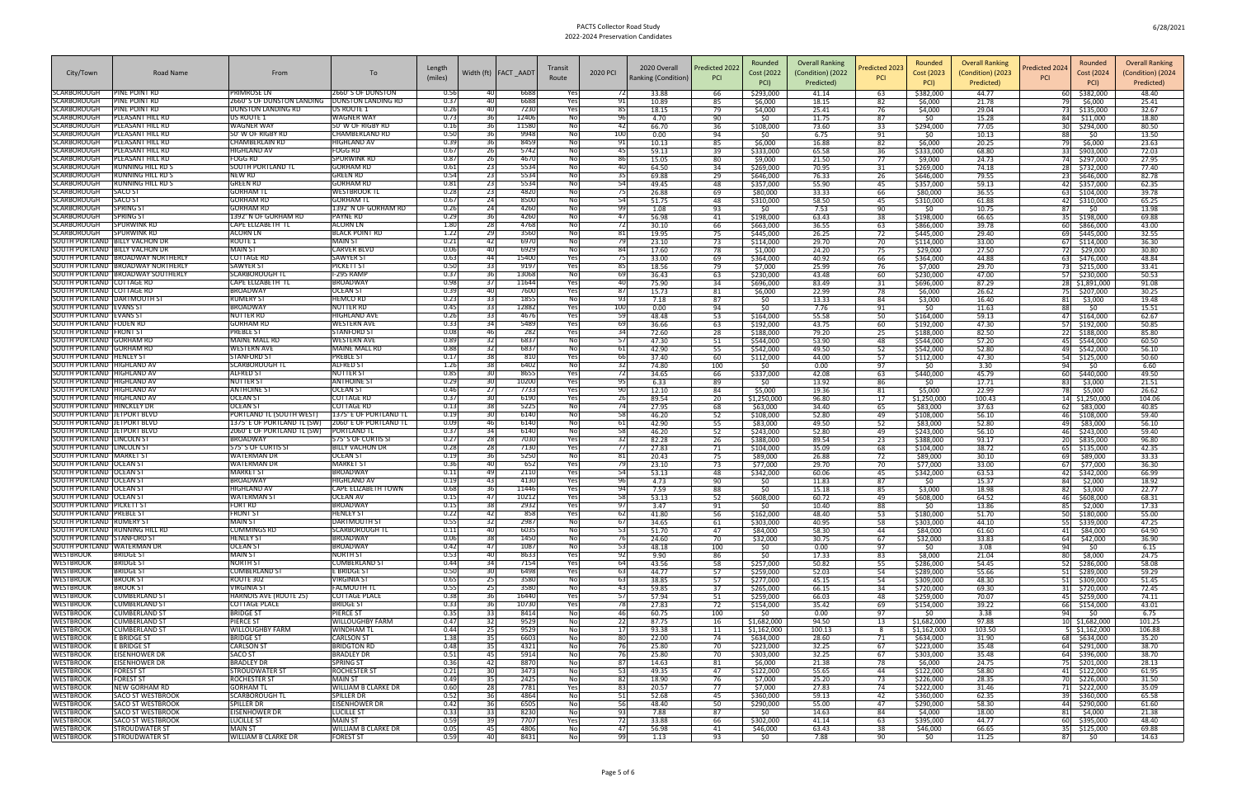| City/Town                                                          | Road Name                                                   | From                                                       | To                                               | Length       | Width (ft)   FACT AADT                 | Transit                          | 2020 PCI   | 2020 Overall        | Predicted 2022 | Rounded<br>Cost (2022    | <b>Overall Ranking</b><br>(Condition) (2022 | Predicted 2023 | Rounded<br>Cost (2023    | <b>Overall Ranking</b><br>(Condition) (2023 | Rounded<br>Predicted 2024<br>Cost (2024   | <b>Overall Ranking</b><br>(Condition) (2024 |
|--------------------------------------------------------------------|-------------------------------------------------------------|------------------------------------------------------------|--------------------------------------------------|--------------|----------------------------------------|----------------------------------|------------|---------------------|----------------|--------------------------|---------------------------------------------|----------------|--------------------------|---------------------------------------------|-------------------------------------------|---------------------------------------------|
|                                                                    |                                                             |                                                            |                                                  | (miles)      |                                        | Route                            |            | Ranking (Condition) | <b>PCI</b>     | PCI)                     | Predicted)                                  |                | PCI)                     | Predicted)                                  | PCI)                                      | Predicted)                                  |
| <b>SCARBOROUGH</b>                                                 | PINE POINT RD                                               | PRIMROSE LN                                                | 2660' S OF DUNSTON                               | 0.56         | 6688                                   | Yes                              |            | 33.88               | 66             | \$293,000                | 41.14                                       | 63             | \$382,000                | 44.77                                       | 60 \$382,000                              | 48.40                                       |
| <b>SCARBOROUGH</b><br><b>SCARBOROUGH</b>                           | PINE POINT RD<br>pine point rd                              | 2660' S OF DUNSTON LANDING<br>DUNSTON LANDING RD           | <b>DUNSTON LANDING RD</b><br>US ROUTE 1          | 0.37<br>0.26 | 6688<br>7230<br>40 l                   | Yes<br>Yes                       | 91<br>85   | 10.89<br>18.15      | 85<br>79       | \$6,000<br>\$4,000       | 18.15<br>25.41                              | 82<br>76       | \$6,000<br>\$4,000       | 21.78<br>29.04                              | \$6,000<br>73 \$135,000                   | 25.41<br>32.67                              |
| <b>SCARBOROUGH</b>                                                 | PLEASANT HILL RD                                            | <b>US ROUTE 1</b>                                          | <b>WAGNER WAY</b>                                | 0.73         | 12406                                  | No                               | -96        | 4.70                | 90             | \$0                      | 11.75                                       | 87             | \$0                      | 15.28                                       | 84 \$11,000                               | 18.80                                       |
| <b>SCARBOROUGH</b>                                                 | PLEASANT HILL RD                                            | <b>WAGNER WAY</b>                                          | 50' W OF RIGBY RD                                | 0.16         | 11580<br>36                            | $\overline{N}$                   | 42         | 66.70               | 36             | \$108,000                | 73.60                                       | 33             | \$294,000                | 77.05                                       | 30 \$294,000                              | 80.50                                       |
| <b>SCARBOROUGH</b><br><b>SCARBOROUGH</b>                           | PLEASANT HILL RD<br>PLEASANT HILL RD                        | 50' W OF RIGBY RD<br><b>CHAMBERLAIN RD</b>                 | <b>CHAMBERLAND RD</b><br><b>HIGHLAND AV</b>      | 0.50<br>0.39 | 9948<br>8459<br>36                     | $\overline{N}$<br>$\overline{N}$ | 100<br>91  | 0.00<br>10.13       | 94<br>85       | \$0<br>\$6,000           | 6.75<br>16.88                               | 91<br>82       | \$0<br>\$6,000           | 10.13<br>20.25                              | 88<br>SO.<br>\$6,000<br>79 I              | 13.50<br>23.63                              |
| <b>SCARBOROUGH</b>                                                 | PLEASANT HILL RD                                            | <b>HIGHLAND AV</b>                                         | FOGG RD                                          | 0.67         | 5742<br>26                             | No                               | 45         | 59.13               | 39             | \$333,000                | 65.58                                       | 36             | \$333,000                | 68.80                                       | 33 \$903,000                              | 72.03                                       |
| <b>SCARBOROUGH</b><br><b>SCARBOROUGH</b>                           | PLEASANT HILL RD<br>RUNNING HILL RD S                       | <b>FOGG RD</b><br><b>SOUTH PORTLAND TL</b>                 | <b>SPURWINK RD</b><br><b>GORHAM RD</b>           | 0.87<br>0.61 | 4670<br>26<br>5534                     | No<br>$\overline{N}$             | 86<br>40   | 15.05<br>64.50      | 80<br>34       | \$9,000<br>\$269,000     | 21.50<br>70.95                              | 77<br>31       | \$9,000<br>\$269,000     | 24.73<br>74.18                              | 74 \$297,000<br>28 \$732,000              | 27.95<br>77.40                              |
| <b>SCARBOROUGH</b>                                                 | RUNNING HILL RD S                                           | <b>NEW RD</b>                                              | <b>GREEN RD</b>                                  | 0.54         | 5534<br>23                             | Nol                              | -35        | 69.88               | 29             | \$646,000                | 76.33                                       | 26             | \$646,000                | 79.55                                       | 23 \$646,000                              | 82.78                                       |
| <b>SCARBOROUGH</b>                                                 | RUNNING HILL RD S                                           | <b>GREEN RD</b>                                            | <b>GORHAM RD</b>                                 | 0.81         | 5534<br>23 <sup>1</sup>                | No                               | 54         | 49.45               | 48             | \$357,000                | 55.90                                       | 45             | \$357,000                | 59.13                                       | 42 \$357,000                              | 62.35                                       |
| <b>SCARBOROUGH</b><br><b>SCARBOROUGH</b>                           | SACO ST<br><b>SACO ST</b>                                   | <b>GORHAM T</b><br><b>GORHAM RD</b>                        | <b>WESTBROOK TI</b><br><b>GORHAM TL</b>          | 0.28<br>0.67 | 4820<br><b>231</b><br>8500<br>24       | $\overline{N}$<br>Nol            | -54        | 26.88<br>51.75      | 69<br>48       | \$80,000<br>\$310,000    | 33.33<br>58.50                              | 66<br>45       | \$80,000<br>\$310,000    | 36.55<br>61.88                              | 63 \$104,000<br>$\overline{42}$ \$310,000 | 39.78<br>65.25                              |
| <b>SCARBOROUGH</b>                                                 | SPRING ST                                                   | <b>GORHAM RD</b>                                           | 1392' N OF GORHAM RD                             | 0.26         | 4260                                   | No                               | 99         | 1.08                | 93             | \$0                      | 7.53                                        | 90             | \$0                      | 10.75                                       | \$0<br>87                                 | 13.98                                       |
| <b>SCARBOROUGH</b><br><b>SCARBOROUGH</b>                           | <b>SPRING ST</b><br><b>SPURWINK RD</b>                      | 1392' N OF GORHAM RD<br><b>CAPE ELIZABETH TL</b>           | <b>PAYNE RD</b><br><b>ACORN LN</b>               | 0.29<br>1.80 | 4260<br>36I<br>4768<br><b>28</b>       | No<br>Nol                        | 47<br>72   | 56.98<br>30.10      | 41             | \$198,000<br>\$663,000   | 63.43<br>36.55                              | 38<br>63       | \$198,000<br>\$866,000   | 66.65<br>39.78                              | 35 \$198,000                              | 69.88<br>43.00                              |
| <b>SCARBOROUGH</b>                                                 | SPURWINK RD                                                 | <b>ACORN LN</b>                                            | <b>BLACK POINT RD</b>                            | 1.22         | 3560                                   | No                               | 81         | 19.95               | 66<br>75       | \$445,000                | 26.25                                       | 72             | \$445,000                | 29.40                                       | 60 \$866,000<br>69 \$445,000              | 32.55                                       |
| SOUTH PORTLAND BILLY VACHON DR                                     |                                                             | <b>ROUTE 1</b>                                             | <b>MAIN ST</b>                                   | 0.21         | 6970                                   | No                               | 79         | 23.10               | 73             | \$114,000                | 29.70                                       | 70             | \$114,000                | 33.00                                       | 67 \$114,000                              | 36.30                                       |
| <b>SOUTH PORTLAND</b>                                              | <b>BILLY VACHON DR</b><br>SOUTH PORTLAND BROADWAY NORTHERLY | <b>MAIN ST</b><br><b>COTTAGE RD</b>                        | <b>CARVER BLVD</b><br><b>SAWYER S</b>            | 0.06<br>0.63 | 6929<br>15400<br>441                   | No<br>Yes                        | 84<br>-75  | 17.60<br>33.00      | 78<br>69       | \$1,000<br>\$364,000     | 24.20<br>40.92                              | 75<br>66       | \$29,000<br>\$364,000    | 27.50<br>44.88                              | 72 \$29,000<br>63 \$476,000               | 30.80<br>48.84                              |
|                                                                    | SOUTH PORTLAND BROADWAY NORTHERLY                           | <b>SAWYER ST</b>                                           | <b>PICKETT ST</b>                                | 0.50         | 9197                                   | Yesl                             | 85         | 18.56               | 79             | \$7,000                  | 25.99                                       | 76             | \$7,000                  | 29.70                                       | 73 \$215,000                              | 33.41                                       |
|                                                                    | SOUTH PORTLAND BROADWAY SOUTHERLY                           | <b>SCARBOROUGH TL</b>                                      | I-295 RAMP                                       | 0.37         | 13068                                  | No                               | 69         | 36.43               | 63             | \$230,000                | 43.48                                       | 60             | \$230,000                | 47.00                                       | 57 \$230,000                              | 50.53                                       |
| SOUTH PORTLAND COTTAGE RD<br>SOUTH PORTLAND COTTAGE RD             |                                                             | CAPE ELIZABETH TL<br><b>BROADWAY</b>                       | <b>BROADWAY</b><br><b>OCEAN ST</b>               | 0.98<br>0.39 | 11644<br>40 l<br>7600                  | Yes<br>Yes                       | 40<br>87   | 75.90<br>15.73      | 34<br>81       | \$696,000<br>\$6,000     | 83.49<br>22.99                              | 31<br>78       | \$696,000<br>\$6,000     | 87.29<br>26.62                              | 28 \$1,891,000<br>75 \$207,000            | 91.08<br>30.25                              |
| SOUTH PORTLAND   DARTMOUTH ST                                      |                                                             | <b>RUMERY ST</b>                                           | <b>HEMCO RD</b>                                  | 0.23         | 1855                                   | No                               | 93         | 7.18                | 87             | \$0                      | 13.33                                       | 84             | \$3,000                  | 16.40                                       | 81 \$3,000                                | 19.48                                       |
| SOUTH PORTLAND EVANS ST<br>SOUTH PORTLAND EVANS ST                 |                                                             | <b>BROADWAY</b><br><b>NUTTER RD</b>                        | <b>NUTTER RD</b><br><b>HIGHLAND AVE</b>          | 0.45<br>0.26 | 12882<br>4676<br>33 I                  | Yes<br>Yes                       | 100<br>-59 | 0.00<br>48.48       | 94<br>53       | \$0<br>\$164,000         | 7.76<br>55.58                               | 91<br>50       | \$0<br>\$164,000         | 11.63<br>59.13                              | 88<br>\$0<br>47 \$164,000                 | 15.51<br>62.67                              |
| <b>SOUTH PORTLAND FODEN RD</b>                                     |                                                             | <b>GORHAM RD</b>                                           | <b>WESTERN AVE</b>                               | 0.33         | 5489                                   | Yes                              | 69         | 36.66               | 63             | \$192,000                | 43.75                                       | 60             | \$192,000                | 47.30                                       | 57 \$192,000                              | 50.85                                       |
| SOUTH PORTLAND FRONT ST                                            |                                                             | <b>PREBLE ST</b>                                           | <b>STANFORD ST</b>                               | 0.08         | 282<br>46                              | Yes                              | -34        | 72.60               | 28             | \$188,000                | 79.20                                       | 25             | \$188,000                | 82.50                                       | 22 \$188,000                              | 85.80                                       |
| SOUTH PORTLAND GORHAM RD<br>SOUTH PORTLAND GORHAM RD               |                                                             | <b>MAINE MALL RI</b><br><b>WESTERN AVE</b>                 | <b>WESTERN AVE</b><br><b>MAINE MALL RD</b>       | 0.89<br>0.88 | 6837<br>6837<br>321                    | No<br>Nol                        | 57<br>61   | 47.30<br>42.90      | 51<br>55       | \$544,000<br>\$542,000   | 53.90<br>49.50                              | 48<br>52       | \$544,000<br>\$542,000   | 57.20<br>52.80                              | 45 \$544,000<br>49 \$542,000              | 60.50<br>56.10                              |
| SOUTH PORTLAND   HENLEY ST                                         |                                                             | <b>STANFORD ST</b>                                         | <b>PREBLE ST</b>                                 | 0.17         | 38<br>810                              | Yesl                             | 66         | 37.40               | 60             | \$112,000                | 44.00                                       | 57             | \$112,000                | 47.30                                       | 54 \$125,000                              | 50.60                                       |
| SOUTH PORTLAND   HIGHLAND AV<br>SOUTH PORTLAND   HIGHLAND AV       |                                                             | <b>SCARBOROUGH TL</b><br><b>ALFRED ST</b>                  | <b>ALFRED ST</b><br><b>NUTTER ST</b>             | 1.26<br>0.85 | 6402<br>8655<br>30 I                   | No<br>Yes                        | 32<br>-72  | 74.80<br>34.65      | 100<br>66      | \$0<br>\$337,000         | 0.00<br>42.08                               | 97<br>63       | \$0<br>\$440,000         | 3.30<br>45.79                               | 94<br>\$0<br>60 \$440,000                 | 6.60<br>49.50                               |
| SOUTH PORTLAND HIGHLAND AV                                         |                                                             | <b>NUTTER ST</b>                                           | <b>ANTHOINE ST</b>                               | 0.29         | 10200<br>30 I                          | Yes                              | -95        | 6.33                | 89             | \$0                      | 13.92                                       | 86             | \$0                      | 17.71                                       | \$3,000<br>83                             | 21.51                                       |
| SOUTH PORTLAND HIGHLAND AV                                         |                                                             | <b>ANTHOINE ST</b>                                         | <b>OCEAN ST</b>                                  | 0.46         | 7733                                   | Yes                              | 90         | 12.10               | 84             | \$5,000                  | 19.36                                       | 81             | \$5,000                  | 22.99                                       | 78<br>\$5,000                             | 26.62                                       |
| SOUTH PORTLAND   HIGHLAND AV<br>SOUTH PORTLAND   HINCKLEY DR       |                                                             | <b>OCEAN ST</b><br><b>OCEAN ST</b>                         | <b>COTTAGE RD</b><br><b>COTTAGE RD</b>           | 0.37<br>0.13 | 6190<br>5225<br>38 I                   | Yes<br>Nol                       | 26<br>-74  | 89.54<br>27.95      | 20<br>68       | \$1,250,000<br>\$63,000  | 96.80<br>34.40                              | 17<br>65       | \$1,250,000<br>\$83,000  | 100.43<br>37.63                             | 14 \$1,250,000<br>62 \$83,000             | 104.06<br>40.85                             |
| SOUTH PORTLAND JETPORT BLVD                                        |                                                             | PORTLAND TL (SOUTH WEST)                                   | 1375' E OF PORTLAND TL                           | 0.19         | 6140                                   | No                               | 58         | 46.20               | 52             | \$108,000                | 52.80                                       | 49             | \$108,000                | 56.10                                       | 46 \$108,000                              | 59.40                                       |
| SOUTH PORTLAND JETPORT BLVD<br><b>SOUTH PORTLAND</b>               | JETPORT BLVD                                                | 1375' E OF PORTLAND TL (SW)<br>2060' E OF PORTLAND TL (SW) | 2060' E OF PORTLAND TL<br><b>PORTLAND TI</b>     | 0.09<br>0.37 | 6140<br>6140<br>34 I                   | Nol<br>Nol                       | 61<br>58   | 42.90<br>46.20      | 55<br>52       | \$83,000<br>\$243,000    | 49.50<br>52.80                              | 52<br>49       | \$83,000<br>\$243,000    | 52.80<br>56.10                              | \$83,000<br>49 I<br>46 \$243,000          | 56.10<br>59.40                              |
| SOUTH PORTLAND LINCOLN ST                                          |                                                             | <b>BROADWAY</b>                                            | 575' S OF CURTIS SI                              | 0.27         | 7030<br>281                            | Yes                              | -32        | 82.28               | 26             | \$388,000                | 89.54                                       | 23             | \$388,000                | 93.17                                       | 20 \$835,000                              | 96.80                                       |
| SOUTH PORTLAND LINCOLN ST                                          |                                                             | 575' S OF CURTIS SI                                        | <b>BILLY VACHON DR</b>                           | 0.28         | 7130<br>28                             | Yesl                             | -77        | 27.83               | 71             | \$104,000                | 35.09                                       | 68             | \$104,000                | 38.72                                       | 65 \$135,000                              | 42.35                                       |
| SOUTH PORTLAND   MARKET ST<br>SOUTH PORTLAND   OCEAN ST            |                                                             | <b>WATERMAN DR</b><br><b>WATERMAN DR</b>                   | <b>OCEAN ST</b><br><b>MARKET ST</b>              | 0.19<br>0.36 | 5250<br>652<br>40 l                    | No<br>Yes                        | 81<br>-79  | 20.43<br>23.10      | 75<br>73       | \$89,000<br>\$77,000     | 26.88<br>29.70                              | 72<br>70       | \$89,000<br>\$77,000     | 30.10<br>33.00                              | 69 \$89,000<br>67 \$77,000                | 33.33<br>36.30                              |
| SOUTH PORTLAND   OCEAN ST                                          |                                                             | <b>MARKET ST</b>                                           | <b>BROADWAY</b>                                  | 0.11         | 2110                                   | Yes                              | -54        | 53.13               | 48             | \$342,000                | 60.06                                       | 45             | \$342,000                | 63.53                                       | 42 \$342,000                              | 66.99                                       |
| SOUTH PORTLAND   OCEAN ST<br>SOUTH PORTLAND   OCEAN ST             |                                                             | <b>BROADWAY</b><br>HIGHLAND AV                             | <b>HIGHLAND AV</b><br><b>CAPE ELIZABETH TOWN</b> | 0.19<br>0.68 | 4130<br>11446                          | Yes<br>Yes                       | 94         | 4.73<br>7.59        | 90<br>88       | \$0<br>\$0               | 11.83<br>15.18                              | 87<br>85       | 50<br>\$3,000            | 15.37<br>18.98                              | 84<br>\$2,000<br>\$3,000                  | 18.92<br>22.77                              |
| SOUTH PORTLAND   OCEAN ST                                          |                                                             | <b>WATERMAN ST</b>                                         | <b>OCEAN AV</b>                                  | 0.15         | 10212<br>471                           | Yes                              | 58         | 53.13               | 52             | \$608,000                | 60.72                                       | 49             | \$608,000                | 64.52                                       | \$608,000<br>461                          | 68.31                                       |
| SOUTH PORTLAND PICKETT ST                                          |                                                             | <b>FORT RD</b>                                             | <b>BROADWAY</b>                                  | 0.15         | 2932<br>38                             | Yes                              | 97         | 3.47                | 91             | \$0                      | 10.40                                       | 88             | \$0                      | 13.86                                       | 85<br>\$2,000                             | 17.33                                       |
| <b>SOUTH PORTLAND PREBLE ST</b><br><b>SOUTH PORTLAND RUMERY ST</b> |                                                             | <b>FRONT ST</b><br><b>MAIN ST</b>                          | <b>HENLEY ST</b><br><b>DARTMOUTH ST</b>          | 0.22<br>0.55 | 858<br>421<br>2987<br>-321             | Yes<br>Nol                       | 62<br>- 67 | 41.80<br>34.65      | -56<br>61      | \$162,000<br>\$303,000   | 48.40<br>40.95                              | 53<br>58       | \$180,000<br>5303,000    | 51.70<br>44.10                              | 50 \$180,000<br>55 \$339,000              | 55.00<br>47.25                              |
| SOUTH PORTLAND RUNNING HILL RD                                     |                                                             | <b>CUMMINGS RD</b>                                         | <b>SCARBOROUGH TL</b>                            | 0.11         | 40<br>6035                             | Nol                              | 53         | 51.70               | 47             | \$84,000                 | 58.30                                       | 44             | \$84,000                 | 61.60                                       | 41 \$84,000                               | 64.90                                       |
| SOUTH PORTLAND STANFORD ST<br>SOUTH PORTLAND WATERMAN DF           |                                                             | <b>HENLEY ST</b><br><b>OCEAN ST</b>                        | <b>BROADWAY</b><br><b>BROADWAY</b>               | 0.06<br>0.42 | 38<br>1450<br>47                       | Nol<br>Nol                       | - 76<br>53 | 24.60<br>48.18      | 70<br>100      | \$32,000<br>\$0          | 30.75<br>0.00                               | 67<br>97       | \$32,000<br>\$0          | 33.83<br>3.08                               | 64 \$42,000<br>94                         | 36.90<br>6.15                               |
| <b>WESTBROOK</b>                                                   | <b>BRIDGE ST</b>                                            | <b>MAIN ST</b>                                             | <b>NORTH ST</b>                                  | 0.53         | 1087<br>8633<br>401                    | Yes                              | - 92       | 9.90                | 86             | 50                       | 17.33                                       | 83             | \$8,000                  | 21.04                                       | \$0<br>80<br>\$8,000                      | 24.75                                       |
| WESTBROOK                                                          | <b>BRIDGE ST</b>                                            | <b>NORTH ST</b>                                            | <b>CUMBERLAND ST</b>                             | 0.44         | 34<br>7154                             | Yes                              | 64         | 43.56               | 58             | \$257,000                | 50.82                                       | 55             | \$286,000                | 54.45                                       | 52 \$286,000                              | 58.08                                       |
| WESTBROOK<br>WESTBROOK                                             | <b>BRIDGE ST</b><br><b>BROOK ST</b>                         | <b>CUMBERLAND ST</b><br>ROUTE 302                          | <b>E BRIDGE ST</b><br><b>VIRGINIA ST</b>         | 0.50<br>0.65 | 30 <sup>1</sup><br>6498<br>3580<br>25  | Yes<br>Nol                       | 63<br>63   | 44.77<br>38.85      | 57<br>57       | \$259,000<br>\$277,000   | 52.03<br>45.15                              | 54<br>54       | \$289,000<br>\$309,000   | 55.66<br>48.30                              | 51 \$289,000<br>51 \$309,000              | 59.29<br>51.45                              |
| <b>WESTBROOK</b>                                                   | <b>BROOK ST</b>                                             | <b>VIRGINIA ST</b>                                         | <b>FALMOUTH TL</b>                               | 0.55         | 3580<br>-251                           | Nol                              | 43         | 59.85               | 37             | \$265,000                | 66.15                                       | 34             | \$720,000                | 69.30                                       | 31 \$720,000                              | 72.45                                       |
| <b>WESTBROOK</b>                                                   | <b>CUMBERLAND ST</b>                                        | <b>HARNOIS AVE (ROUTE 25)</b>                              | <b>COTTAGE PLACE</b>                             | 0.38         | 16440<br>36                            | Yesl                             | 57         | 57.94               | 51             | \$259,000                | 66.03                                       | 48             | \$259,000                | 70.07                                       | 45 \$259,000                              | 74.11                                       |
| <b>WESTBROOK</b><br><b>WESTBROOK</b>                               | <b>CUMBERLAND ST</b><br><b>CUMBERLAND ST</b>                | <b>COTTAGE PLACE</b><br><b>BRIDGE ST</b>                   | <b>BRIDGE ST</b><br><b>PIERCE ST</b>             | 0.33<br>0.35 | 10730<br>361<br>8414<br>-331           | Yes<br>Nol                       | 78<br>46   | 27.83<br>60.75      | 72<br>100      | \$154,000<br>- \$0       | 35.42<br>0.00                               | 69<br>97       | \$154,000<br>- SO        | 39.22<br>3.38                               | 66 \$154,000<br>94<br>\$0                 | 43.01<br>6.75                               |
| <b>WESTBROOK</b>                                                   | <b>CUMBERLAND ST</b>                                        | <b>PIERCE ST</b>                                           | <b>WILLOUGHBY FARM</b>                           | 0.47         | 9529<br>32                             | No                               | 22         | 87.75               | 16             | \$1,682,000              | 94.50                                       | 13             | \$1,682,000              | 97.88                                       | 10 \$1,682,000                            | 101.25                                      |
| <b>WESTBROOK</b><br><b>WESTBROOK</b>                               | <b>CUMBERLAND ST</b><br><b>E BRIDGE ST</b>                  | <b>WILLOUGHBY FARM</b><br><b>BRIDGE ST</b>                 | <b>WINDHAM TL</b><br><b>CARLSON ST</b>           | 0.44<br>1.38 | 9529<br>25<br>6603<br>-351             | Nol<br>Nol                       | 17<br>-80  | 93.38<br>22.00      | 11<br>74       | \$1,162,000<br>\$634,000 | 100.13<br>28.60                             | 8<br>71        | \$1,162,000<br>\$634,000 | 103.50<br>31.90                             | $5 \mid$ \$1,162,000<br>68 \$634,000      | 106.88<br>35.20                             |
| <b>WESTBROOK</b>                                                   | <b>E BRIDGE ST</b>                                          | <b>CARLSON ST</b>                                          | <b>BRIDGTON RD</b>                               | 0.48         | 4321<br>-351                           | Nol                              | - 76       | 25.80               | 70             | \$223,000                | 32.25                                       | 67             | \$223,000                | 35.48                                       | 64 \$291,000                              | 38.70                                       |
| <b>WESTBROOK</b>                                                   | <b>EISENHOWER DR</b>                                        | <b>SACO ST</b>                                             | <b>BRADLEY DR</b>                                | 0.51         | 451<br>5914                            | Nol                              | - 76       | 25.80               | 70             | \$303,000                | 32.25                                       | 67             | \$303,000                | 35.48                                       | 64 \$396,000                              | 38.70                                       |
| <b>WESTBROOK</b><br><b>WESTBROOK</b>                               | <b>EISENHOWER DR</b><br><b>FOREST ST</b>                    | <b>BRADLEY DR</b><br><b>STROUDWATER ST</b>                 | <b>SPRING ST</b><br><b>ROCHESTER ST</b>          | 0.36<br>0.21 | 8870<br>421<br>3473<br>30 <sup>1</sup> | Nol<br>Nol                       | 87<br>- 53 | 14.63<br>49.35      | 81<br>47       | \$6,000<br>\$122,000     | 21.38<br>55.65                              | 78<br>44       | \$6,000<br>\$122,000     | 24.75<br>58.80                              | 75 \$201,000<br>41 \$122,000              | 28.13<br>61.95                              |
| <b>WESTBROOK</b>                                                   | <b>FOREST ST</b>                                            | <b>ROCHESTER ST</b>                                        | <b>MAIN ST</b>                                   | 0.49         | 35<br>2425                             | Nol                              | 82         | 18.90               | 76             | \$7,000                  | 25.20                                       | 73             | \$226,000                | 28.35                                       | 70 \$226,000                              | 31.50                                       |
| <b>WESTBROOK</b><br><b>WESTBROOK</b>                               | <b>NEW GORHAM RD</b><br>SACO ST WESTBROOK                   | <b>GORHAM TL</b><br><b>SCARBOROUGH TL</b>                  | <b>WILLIAM B CLARKE DR</b><br><b>SPILLER DR</b>  | 0.60<br>0.52 | 7781<br>28<br>4864<br>36 I             | Yes<br>Nol                       | 83<br>51   | 20.57<br>52.68      | 77<br>45       | \$7,000<br>\$360,000     | 27.83<br>59.13                              | 74<br>42       | \$222,000<br>\$360,000   | 31.46<br>62.35                              | 71 \$222,000<br>39 \$360,000              | 35.09<br>65.58                              |
| <b>WESTBROOK</b>                                                   | <b>SACO ST WESTBROOK</b>                                    | <b>SPILLER DR</b>                                          | <b>EISENHOWER DR</b>                             | 0.42         | 6505<br>361                            | Nol                              | 56         | 48.40               | 50             | \$290,000                | 55.00                                       | 47             | \$290,000                | 58.30                                       | 44 \$290,000                              | 61.60                                       |
| <b>WESTBROOK</b>                                                   | <b>SACO ST WESTBROOK</b>                                    | <b>EISENHOWER DR</b>                                       | <b>LUCILLE ST</b>                                | 0.33         | 8230                                   | Nol                              | 93         | 7.88                | 87             | \$0                      | 14.63                                       | 84             | \$4,000                  | 18.00                                       | 81 \$4,000                                | 21.38                                       |
| <b>WESTBROOK</b><br><b>WESTBROOK</b>                               | <b>SACO ST WESTBROOK</b><br><b>STROUDWATER ST</b>           | <b>LUCILLE ST</b><br><b>MAIN ST</b>                        | <b>MAIN ST</b><br><b>WILLIAM B CLARKE DR</b>     | 0.59<br>0.05 | 7707<br>-391<br>4806<br>45             | Yes<br>Nol                       | -72<br>-47 | 33.88<br>56.98      | 66<br>41       | \$302,000<br>\$46,000    | 41.14<br>63.43                              | 63<br>38       | \$395,000<br>\$46,000    | 44.77<br>66.65                              | 60 \$395,000<br>35 \$125,000              | 48.40<br>69.88                              |
| <b>WESTBROOK</b>                                                   | <b>STROUDWATER ST</b>                                       | <b>WILLIAM B CLARKE DR</b>                                 | <b>FOREST ST</b>                                 | 0.59         | 8431<br>40                             | No                               | 99         | 1.13                | 93             | \$0                      | 7.88                                        | 90             | \$0                      | 11.25                                       | 87<br>\$0                                 | 14.63                                       |